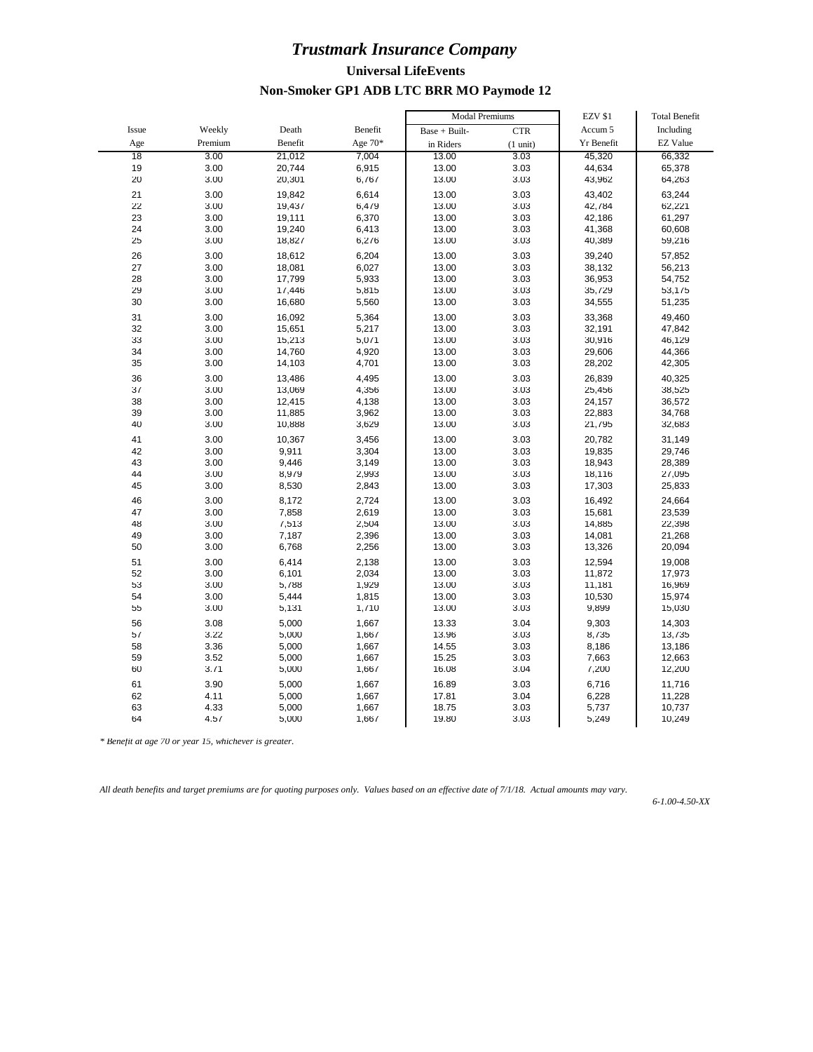# *Trustmark Insurance Company*

# **Universal LifeEvents Non-Smoker GP1 ADB LTC BRR MO Paymode 12**

|          |              |         |           | <b>Modal Premiums</b> |                    | <b>EZV \$1</b> | <b>Total Benefit</b> |
|----------|--------------|---------|-----------|-----------------------|--------------------|----------------|----------------------|
| Issue    | Weekly       | Death   | Benefit   | Base + Built-         | <b>CTR</b>         | Accum 5        | Including            |
| Age      | Premium      | Benefit | Age $70*$ | in Riders             | $(1 \text{ unit})$ | Yr Benefit     | <b>EZ Value</b>      |
| 18       | 3.00         | 21,012  | 7,004     | 13.00                 | 3.03               | 45,320         | 66,332               |
| 19       | 3.00         | 20,744  | 6,915     | 13.00                 | 3.03               | 44,634         | 65,378               |
| 20       | 3.00         | 20,301  | 6,767     | 13.00                 | 3.03               | 43,962         | 64,263               |
| 21       | 3.00         | 19,842  | 6,614     | 13.00                 | 3.03               | 43,402         | 63,244               |
| 22       | 3.00         | 19,437  | 6,479     | 13.00                 | 3.03               | 42,784         | 62,221               |
| 23       | 3.00         | 19,111  | 6,370     | 13.00                 | 3.03               | 42,186         | 61,297               |
| 24       | 3.00         | 19,240  | 6,413     | 13.00                 | 3.03               | 41,368         | 60,608               |
| 25       | 3.00         | 18,827  | 6,276     | 13.00                 | 3.03               | 40,389         | 59,216               |
| 26       | 3.00         | 18,612  | 6,204     | 13.00                 | 3.03               | 39,240         | 57,852               |
| 27       | 3.00         | 18,081  | 6,027     | 13.00                 | 3.03               | 38,132         | 56,213               |
| 28       | 3.00         | 17,799  | 5,933     | 13.00                 | 3.03               | 36,953         | 54,752               |
| 29       | 3.00         | 17,446  | 5,815     | 13.00                 | 3.03               | 35,729         | 53,175               |
| 30       | 3.00         | 16,680  | 5,560     | 13.00                 | 3.03               | 34,555         | 51,235               |
| 31       | 3.00         | 16,092  | 5,364     | 13.00                 | 3.03               | 33,368         | 49,460               |
| 32       | 3.00         | 15,651  | 5,217     | 13.00                 | 3.03               | 32,191         | 47,842               |
| 33       | 3.00         | 15,213  | 5,071     | 13.00                 | 3.03               | 30,916         | 46,129               |
| 34       | 3.00         | 14,760  | 4,920     | 13.00                 | 3.03               | 29,606         | 44,366               |
| 35       | 3.00         | 14,103  | 4,701     | 13.00                 | 3.03               | 28,202         | 42,305               |
| 36       | 3.00         | 13,486  | 4,495     | 13.00                 | 3.03               | 26,839         | 40,325               |
| 37       | 3.00         | 13,069  | 4,356     | 13.00                 | 3.03               | 25,456         | 38,525               |
| 38       | 3.00         | 12,415  | 4,138     | 13.00                 | 3.03               | 24,157         | 36,572               |
| 39       | 3.00         | 11,885  | 3,962     | 13.00                 | 3.03               | 22,883         | 34,768               |
| 40       | 3.00         | 10,888  | 3,629     | 13.00                 | 3.03               | 21,795         | 32,683               |
| 41       | 3.00         | 10,367  | 3,456     | 13.00                 | 3.03               | 20,782         | 31,149               |
| 42       | 3.00         | 9,911   | 3,304     | 13.00                 | 3.03               | 19,835         | 29,746               |
| 43       | 3.00         | 9,446   | 3,149     | 13.00                 | 3.03               | 18,943         | 28,389               |
| 44       | 3.00         | 8,979   | 2,993     | 13.00                 | 3.03               | 18,116         | 27,095               |
| 45       | 3.00         | 8,530   | 2,843     | 13.00                 | 3.03               | 17,303         | 25,833               |
| 46       | 3.00         | 8,172   | 2,724     | 13.00                 | 3.03               | 16,492         | 24,664               |
| 47       | 3.00         | 7,858   | 2,619     | 13.00                 | 3.03               | 15,681         | 23,539               |
| 48       | 3.00         | 7,513   | 2,504     | 13.00                 | 3.03               | 14,885         | 22,398               |
| 49       | 3.00         | 7,187   | 2,396     | 13.00                 | 3.03               | 14,081         | 21,268               |
| 50       | 3.00         | 6,768   | 2,256     | 13.00                 | 3.03               | 13,326         | 20,094               |
| 51       | 3.00         | 6,414   | 2,138     | 13.00                 | 3.03               | 12,594         | 19,008               |
| 52       | 3.00         | 6,101   | 2,034     | 13.00                 | 3.03               | 11,872         | 17,973               |
| 53       | 3.00         | 5,788   | 1,929     | 13.00                 | 3.03               | 11,181         | 16,969               |
| 54<br>55 | 3.00<br>3.00 | 5,444   | 1,815     | 13.00<br>13.00        | 3.03               | 10,530         | 15,974               |
|          |              | 5,131   | 1,710     |                       | 3.03               | 9,899          | 15,030               |
| 56       | 3.08         | 5,000   | 1,667     | 13.33                 | 3.04               | 9,303          | 14,303               |
| 57       | 3.22         | 5,000   | 1,667     | 13.96                 | 3.03               | 8,735          | 13,735               |
| 58       | 3.36         | 5,000   | 1,667     | 14.55                 | 3.03               | 8,186          | 13,186               |
| 59       | 3.52         | 5,000   | 1,667     | 15.25                 | 3.03               | 7,663          | 12,663               |
| 60       | 3.71         | 5,000   | 1,667     | 16.08                 | 3.04               | 7,200          | 12,200               |
| 61       | 3.90         | 5,000   | 1,667     | 16.89                 | 3.03               | 6,716          | 11,716               |
| 62       | 4.11         | 5,000   | 1,667     | 17.81                 | 3.04               | 6,228          | 11,228               |
| 63       | 4.33         | 5,000   | 1,667     | 18.75                 | 3.03               | 5,737          | 10,737               |
| 64       | 4.57         | 5,000   | 1,667     | 19.80                 | 3.03               | 5,249          | 10,249               |

*\* Benefit at age 70 or year 15, whichever is greater.*

*All death benefits and target premiums are for quoting purposes only. Values based on an effective date of 7/1/18. Actual amounts may vary.*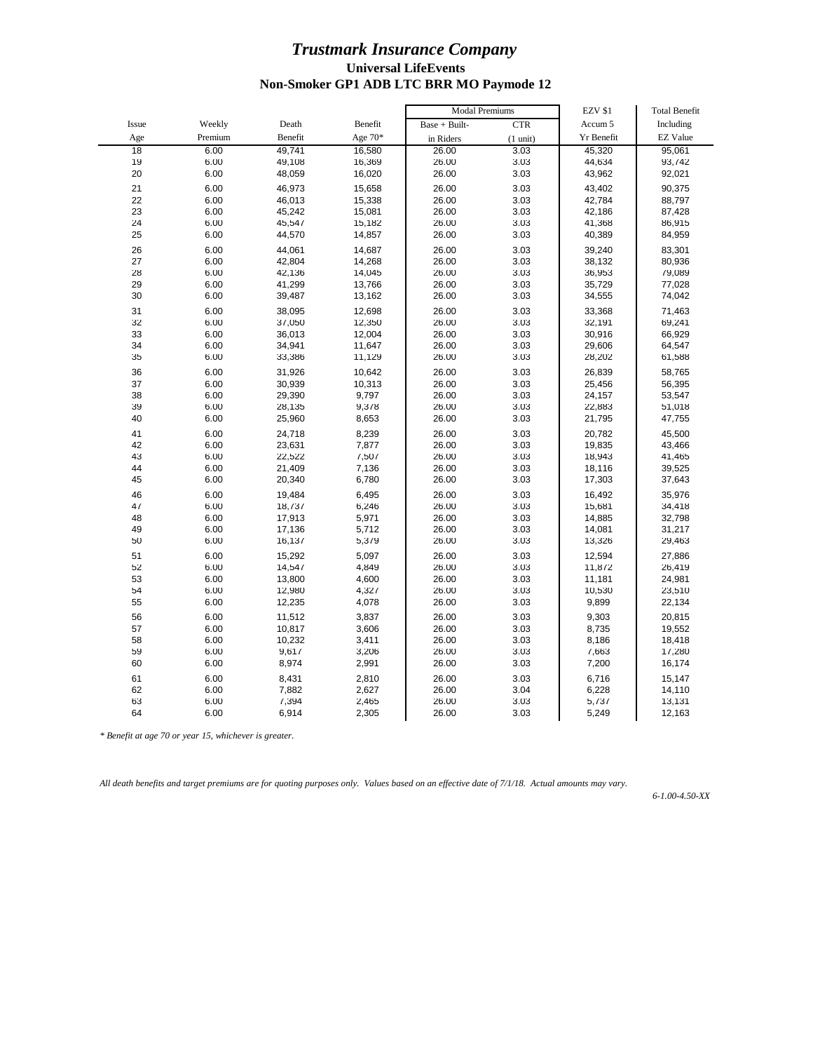|          |              |                |                | <b>Modal Premiums</b> |                    | <b>EZV \$1</b> | <b>Total Benefit</b> |
|----------|--------------|----------------|----------------|-----------------------|--------------------|----------------|----------------------|
| Issue    | Weekly       | Death          | Benefit        | Base + Built-         | <b>CTR</b>         | Accum 5        | Including            |
| Age      | Premium      | Benefit        | Age 70*        | in Riders             | $(1 \text{ unit})$ | Yr Benefit     | <b>EZ Value</b>      |
| 18       | 6.00         | 49.741         | 16,580         | 26.00                 | 3.03               | 45,320         | 95,061               |
| 19       | 6.00         | 49,108         | 16,369         | 26.00                 | 3.03               | 44,634         | 93,742               |
| 20       | 6.00         | 48,059         | 16,020         | 26.00                 | 3.03               | 43,962         | 92,021               |
| 21       | 6.00         | 46,973         | 15,658         | 26.00                 | 3.03               | 43,402         | 90,375               |
| 22       | 6.00         | 46,013         | 15,338         | 26.00                 | 3.03               | 42,784         | 88,797               |
| 23       | 6.00         | 45,242         | 15,081         | 26.00                 | 3.03               | 42,186         | 87,428               |
| 24       | 6.00         | 45,547         | 15,182         | 26.00                 | 3.03               | 41,368         | 86,915               |
| 25       | 6.00         | 44,570         | 14,857         | 26.00                 | 3.03               | 40,389         | 84,959               |
| 26       | 6.00         | 44,061         | 14,687         | 26.00                 | 3.03               | 39,240         | 83,301               |
| 27       | 6.00         | 42,804         | 14,268         | 26.00                 | 3.03               | 38,132         | 80,936               |
| 28       | 6.00         | 42,136         | 14,045         | 26.00                 | 3.03               | 36,953         | 79,089               |
| 29       | 6.00         | 41,299         | 13,766         | 26.00                 | 3.03               | 35,729         | 77,028               |
| 30       | 6.00         | 39,487         | 13,162         | 26.00                 | 3.03               | 34,555         | 74,042               |
| 31       | 6.00         | 38,095         | 12,698         | 26.00                 | 3.03               | 33,368         | 71,463               |
| 32       | 6.00         | 37,050         | 12,350         | 26.00                 | 3.03               | 32,191         | 69,241               |
| 33       | 6.00         | 36,013         | 12,004         | 26.00                 | 3.03               | 30,916         | 66,929               |
| 34       | 6.00         | 34,941         | 11,647         | 26.00                 | 3.03               | 29,606         | 64,547               |
| 35       | 6.00         | 33,386         | 11,129         | 26.00                 | 3.03               | 28,202         | 61,588               |
| 36       | 6.00         | 31,926         | 10,642         | 26.00                 | 3.03               | 26,839         | 58,765               |
| 37       | 6.00         | 30,939         | 10,313         | 26.00                 | 3.03               | 25,456         | 56,395               |
| 38       | 6.00         | 29,390         | 9,797          | 26.00                 | 3.03               | 24,157         | 53,547               |
| 39       | 6.00         | 28,135         | 9,378          | 26.00                 | 3.03               | 22,883         | 51,018               |
| 40       | 6.00         | 25,960         | 8,653          | 26.00                 | 3.03               | 21,795         | 47,755               |
| 41       | 6.00         | 24,718         | 8,239          | 26.00                 | 3.03               | 20,782         | 45,500               |
| 42       | 6.00         | 23,631         | 7,877          | 26.00                 | 3.03               | 19,835         | 43,466               |
| 43       | 6.00         | 22,522         | 7,507          | 26.00                 | 3.03               | 18,943         | 41,465               |
| 44       | 6.00         | 21,409         | 7,136          | 26.00                 | 3.03               | 18,116         | 39,525               |
| 45       | 6.00         | 20,340         | 6,780          | 26.00                 | 3.03               | 17,303         | 37,643               |
| 46       | 6.00         | 19,484         | 6,495          | 26.00                 | 3.03               | 16,492         | 35,976               |
| 47       | 6.00         | 18,737         | 6,246          | 26.00                 | 3.03               | 15,681         | 34,418               |
| 48       | 6.00         | 17,913         | 5,971          | 26.00                 | 3.03               | 14,885         | 32,798               |
| 49       | 6.00         | 17,136         | 5,712          | 26.00                 | 3.03               | 14,081         | 31,217               |
| 50       | 6.00         | 16,137         | 5,379          | 26.00                 | 3.03               | 13,326         | 29,463               |
| 51       | 6.00         | 15,292         | 5,097          | 26.00                 | 3.03               | 12,594         | 27,886               |
| 52       | 6.00         | 14,547         | 4,849          | 26.00                 | 3.03               | 11,872         | 26,419               |
| 53       | 6.00         | 13,800         | 4,600          | 26.00                 | 3.03               | 11,181         | 24,981               |
| 54       | 6.00         | 12,980         | 4,327          | 26.00                 | 3.03               | 10,530         | 23,510               |
| 55       | 6.00         | 12,235         | 4,078          | 26.00                 | 3.03               | 9,899          | 22,134               |
| 56       | 6.00         | 11,512         | 3,837          | 26.00                 | 3.03               | 9,303          | 20,815               |
| 57       | 6.00         | 10,817         | 3,606          | 26.00                 | 3.03               | 8,735          | 19,552               |
| 58       | 6.00         | 10,232         | 3,411          | 26.00                 | 3.03               | 8,186          | 18,418               |
| 59       | 6.00         | 9,617          | 3,206          | 26.00                 | 3.03               | 7,663          | 17,280               |
| 60       | 6.00         | 8,974          | 2,991          | 26.00                 | 3.03               | 7,200          | 16,174               |
|          |              |                |                |                       |                    |                |                      |
| 61       | 6.00         | 8,431          | 2,810          | 26.00                 | 3.03               | 6,716          | 15,147               |
| 62<br>63 | 6.00<br>6.00 | 7,882<br>7,394 | 2,627<br>2,465 | 26.00<br>26.00        | 3.04<br>3.03       | 6,228<br>5,737 | 14,110<br>13,131     |
| 64       | 6.00         | 6,914          | 2,305          | 26.00                 | 3.03               | 5,249          | 12,163               |
|          |              |                |                |                       |                    |                |                      |

*\* Benefit at age 70 or year 15, whichever is greater.*

*All death benefits and target premiums are for quoting purposes only. Values based on an effective date of 7/1/18. Actual amounts may vary.*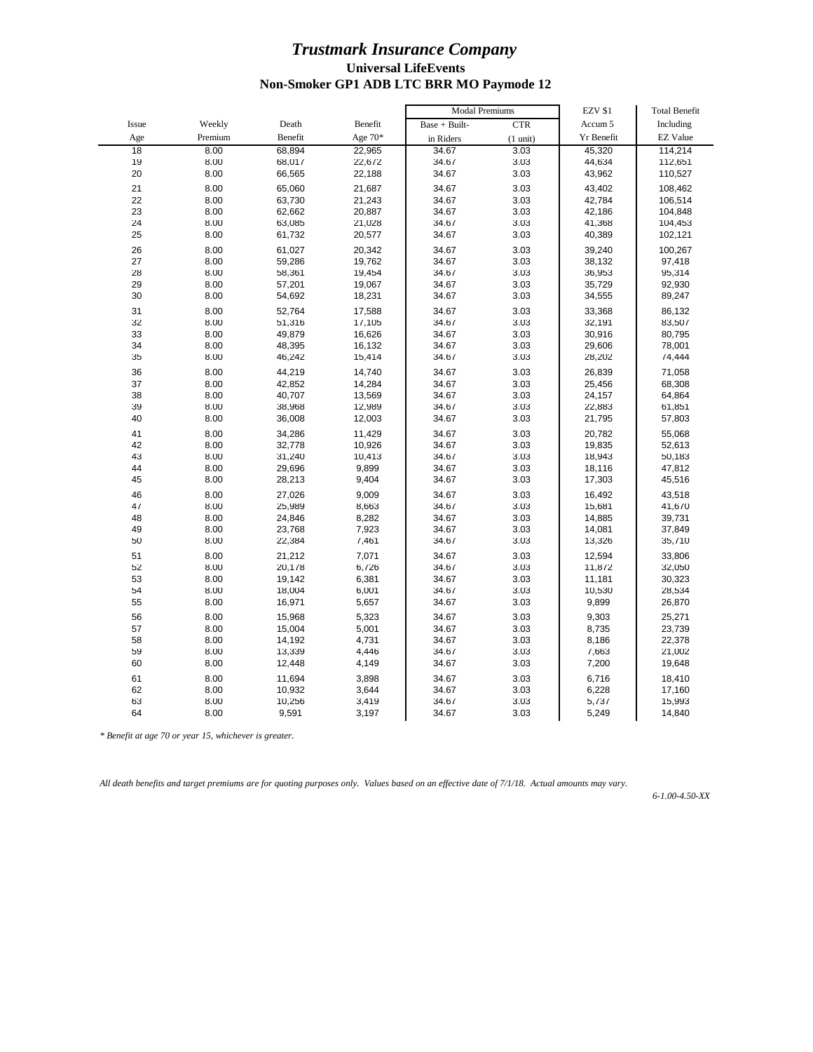|       |         |         |         | <b>Modal Premiums</b> |                    | <b>EZV \$1</b> | <b>Total Benefit</b> |
|-------|---------|---------|---------|-----------------------|--------------------|----------------|----------------------|
| Issue | Weekly  | Death   | Benefit | Base + Built-         | <b>CTR</b>         | Accum 5        | Including            |
| Age   | Premium | Benefit | Age 70* | in Riders             | $(1 \text{ unit})$ | Yr Benefit     | <b>EZ Value</b>      |
| 18    | 8.00    | 68,894  | 22,965  | 34.67                 | 3.03               | 45,320         | 114,214              |
| 19    | 8.00    | 68,017  | 22,672  | 34.67                 | 3.03               | 44,634         | 112,651              |
| 20    | 8.00    | 66,565  | 22,188  | 34.67                 | 3.03               | 43,962         | 110,527              |
| 21    | 8.00    | 65,060  | 21,687  | 34.67                 | 3.03               | 43,402         | 108,462              |
| 22    | 8.00    | 63,730  | 21,243  | 34.67                 | 3.03               | 42,784         | 106,514              |
| 23    | 8.00    | 62,662  | 20,887  | 34.67                 | 3.03               | 42,186         | 104,848              |
| 24    | 8.00    | 63,085  | 21,028  | 34.67                 | 3.03               | 41,368         | 104,453              |
| 25    | 8.00    | 61,732  | 20,577  | 34.67                 | 3.03               | 40,389         | 102,121              |
| 26    | 8.00    | 61,027  | 20,342  | 34.67                 | 3.03               | 39,240         | 100,267              |
| 27    | 8.00    | 59,286  | 19,762  | 34.67                 | 3.03               | 38,132         | 97,418               |
| 28    | 8.00    | 58,361  | 19,454  | 34.67                 | 3.03               | 36,953         | 95,314               |
| 29    | 8.00    | 57,201  | 19,067  | 34.67                 | 3.03               | 35,729         | 92,930               |
| 30    | 8.00    | 54,692  | 18,231  | 34.67                 | 3.03               | 34,555         | 89,247               |
| 31    | 8.00    | 52,764  | 17,588  | 34.67                 | 3.03               | 33,368         | 86,132               |
| 32    | 8.00    | 51,316  | 17,105  | 34.67                 | 3.03               | 32,191         | 83,507               |
| 33    | 8.00    | 49,879  | 16,626  | 34.67                 | 3.03               | 30,916         | 80,795               |
| 34    | 8.00    | 48,395  | 16,132  | 34.67                 | 3.03               | 29,606         | 78,001               |
| 35    | 8.00    | 46,242  | 15,414  | 34.67                 | 3.03               | 28,202         | 74,444               |
| 36    | 8.00    | 44,219  | 14,740  | 34.67                 | 3.03               | 26,839         | 71,058               |
| 37    | 8.00    | 42,852  | 14,284  | 34.67                 | 3.03               | 25,456         | 68,308               |
| 38    | 8.00    | 40,707  | 13,569  | 34.67                 | 3.03               | 24,157         | 64,864               |
| 39    | 8.00    | 38,968  | 12,989  | 34.67                 | 3.03               | 22,883         | 61,851               |
| 40    | 8.00    | 36,008  | 12,003  | 34.67                 | 3.03               | 21,795         | 57,803               |
| 41    | 8.00    | 34,286  | 11,429  | 34.67                 | 3.03               | 20,782         | 55,068               |
| 42    | 8.00    | 32,778  | 10,926  | 34.67                 | 3.03               | 19,835         | 52,613               |
| 43    | 8.00    | 31,240  | 10,413  | 34.67                 | 3.03               | 18,943         | 50,183               |
| 44    | 8.00    | 29,696  | 9,899   | 34.67                 | 3.03               | 18,116         | 47,812               |
| 45    | 8.00    | 28,213  | 9,404   | 34.67                 | 3.03               | 17,303         | 45,516               |
| 46    | 8.00    | 27,026  | 9,009   | 34.67                 | 3.03               | 16,492         | 43,518               |
| 47    | 8.00    | 25,989  | 8,663   | 34.67                 | 3.03               | 15,681         | 41,670               |
| 48    | 8.00    | 24,846  | 8,282   | 34.67                 | 3.03               | 14,885         | 39,731               |
| 49    | 8.00    | 23,768  | 7,923   | 34.67                 | 3.03               | 14,081         | 37,849               |
| 50    | 8.00    | 22,384  | 7,461   | 34.67                 | 3.03               | 13,326         | 35,710               |
| 51    | 8.00    | 21,212  | 7,071   | 34.67                 | 3.03               | 12,594         | 33,806               |
| 52    | 8.00    | 20,178  | 6,726   | 34.67                 | 3.03               | 11,872         | 32,050               |
| 53    | 8.00    | 19,142  | 6,381   | 34.67                 | 3.03               | 11,181         | 30,323               |
| 54    | 8.00    | 18,004  | 6,001   | 34.67                 | 3.03               | 10,530         | 28,534               |
| 55    | 8.00    | 16,971  | 5,657   | 34.67                 | 3.03               | 9,899          | 26,870               |
| 56    | 8.00    | 15,968  | 5,323   | 34.67                 | 3.03               | 9,303          | 25,271               |
| 57    | 8.00    | 15,004  | 5,001   | 34.67                 | 3.03               | 8,735          | 23,739               |
| 58    | 8.00    | 14,192  | 4,731   | 34.67                 | 3.03               | 8,186          | 22,378               |
| 59    | 8.00    | 13,339  | 4,446   | 34.67                 | 3.03               | 7,663          | 21,002               |
| 60    | 8.00    | 12,448  | 4,149   | 34.67                 | 3.03               | 7,200          | 19,648               |
| 61    | 8.00    | 11,694  | 3,898   | 34.67                 | 3.03               | 6,716          | 18,410               |
| 62    | 8.00    | 10,932  | 3,644   | 34.67                 | 3.03               | 6,228          | 17,160               |
| 63    | 8.00    | 10,256  | 3,419   | 34.67                 | 3.03               | 5,737          | 15,993               |
| 64    | 8.00    | 9,591   | 3,197   | 34.67                 | 3.03               | 5,249          | 14,840               |
|       |         |         |         |                       |                    |                |                      |

*\* Benefit at age 70 or year 15, whichever is greater.*

*All death benefits and target premiums are for quoting purposes only. Values based on an effective date of 7/1/18. Actual amounts may vary.*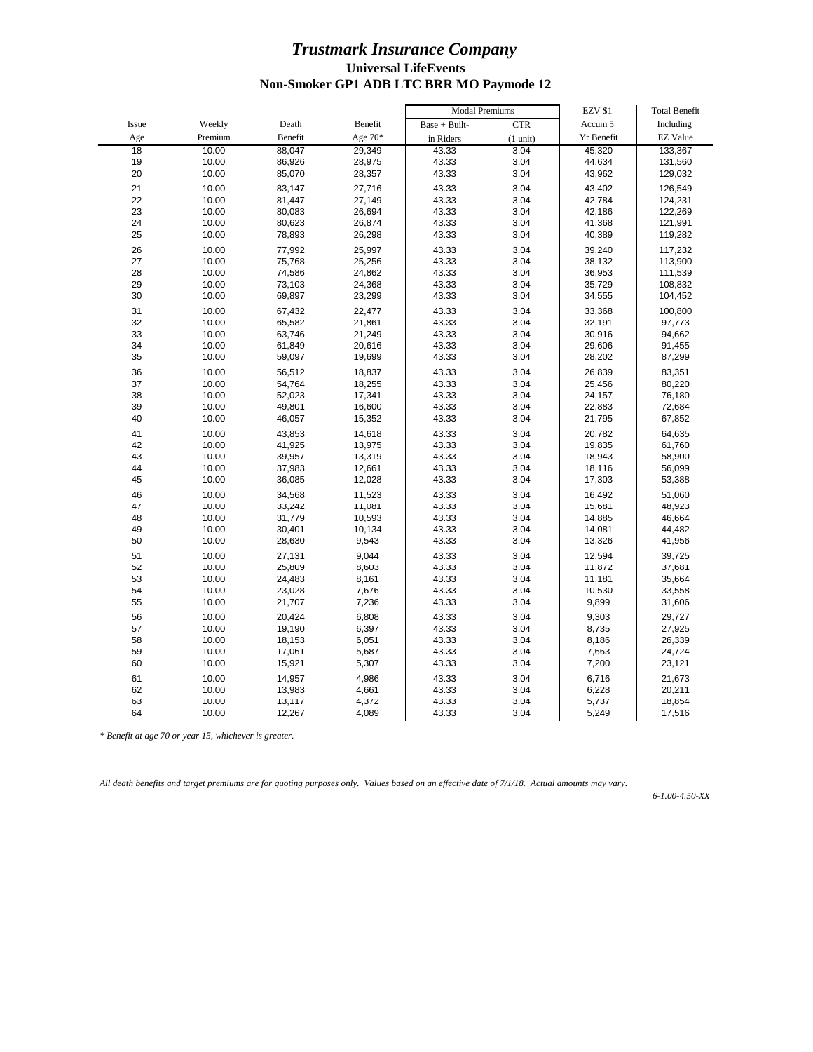|       |         |         |         | <b>Modal Premiums</b> |                    | <b>EZV \$1</b> | <b>Total Benefit</b> |
|-------|---------|---------|---------|-----------------------|--------------------|----------------|----------------------|
| Issue | Weekly  | Death   | Benefit | Base + Built-         | <b>CTR</b>         | Accum 5        | Including            |
| Age   | Premium | Benefit | Age 70* | in Riders             | $(1 \text{ unit})$ | Yr Benefit     | <b>EZ Value</b>      |
| 18    | 10.00   | 88,047  | 29,349  | 43.33                 | 3.04               | 45,320         | 133,367              |
| 19    | 10.00   | 86,926  | 28,975  | 43.33                 | 3.04               | 44,634         | 131,560              |
| 20    | 10.00   | 85,070  | 28,357  | 43.33                 | 3.04               | 43,962         | 129,032              |
| 21    | 10.00   | 83,147  | 27,716  | 43.33                 | 3.04               | 43,402         | 126,549              |
| 22    | 10.00   | 81,447  | 27,149  | 43.33                 | 3.04               | 42,784         | 124,231              |
| 23    | 10.00   | 80,083  | 26,694  | 43.33                 | 3.04               | 42,186         | 122,269              |
| 24    | 10.00   | 80,623  | 26,874  | 43.33                 | 3.04               | 41,368         | 121,991              |
| 25    | 10.00   | 78,893  | 26,298  | 43.33                 | 3.04               | 40,389         | 119,282              |
| 26    | 10.00   | 77,992  | 25,997  | 43.33                 | 3.04               | 39,240         | 117,232              |
| 27    | 10.00   | 75,768  | 25,256  | 43.33                 | 3.04               | 38,132         | 113,900              |
| 28    | 10.00   | 74,586  | 24,862  | 43.33                 | 3.04               | 36,953         | 111,539              |
| 29    | 10.00   | 73,103  | 24,368  | 43.33                 | 3.04               | 35,729         | 108,832              |
| 30    | 10.00   | 69,897  | 23,299  | 43.33                 | 3.04               | 34,555         | 104,452              |
| 31    | 10.00   | 67,432  | 22,477  | 43.33                 | 3.04               | 33,368         | 100,800              |
| 32    | 10.00   | 65,582  | 21,861  | 43.33                 | 3.04               | 32,191         | 97,773               |
| 33    | 10.00   | 63,746  | 21,249  | 43.33                 | 3.04               | 30,916         | 94,662               |
| 34    | 10.00   | 61,849  | 20,616  | 43.33                 | 3.04               | 29,606         | 91,455               |
| 35    | 10.00   | 59,097  | 19,699  | 43.33                 | 3.04               | 28,202         | 87,299               |
| 36    | 10.00   | 56,512  | 18,837  | 43.33                 | 3.04               | 26,839         | 83,351               |
| 37    | 10.00   | 54,764  | 18,255  | 43.33                 | 3.04               | 25,456         | 80,220               |
| 38    | 10.00   | 52,023  | 17,341  | 43.33                 | 3.04               | 24,157         | 76,180               |
| 39    | 10.00   | 49,801  | 16,600  | 43.33                 | 3.04               | 22,883         | 72,684               |
| 40    | 10.00   | 46,057  | 15,352  | 43.33                 | 3.04               | 21,795         | 67,852               |
| 41    | 10.00   | 43,853  | 14,618  | 43.33                 | 3.04               | 20,782         | 64,635               |
| 42    | 10.00   | 41,925  | 13,975  | 43.33                 | 3.04               | 19,835         | 61,760               |
| 43    | 10.00   | 39,957  | 13,319  | 43.33                 | 3.04               | 18,943         | 58,900               |
| 44    | 10.00   | 37,983  | 12,661  | 43.33                 | 3.04               | 18,116         | 56,099               |
| 45    | 10.00   | 36,085  | 12,028  | 43.33                 | 3.04               | 17,303         | 53,388               |
| 46    | 10.00   | 34,568  | 11,523  | 43.33                 | 3.04               | 16,492         | 51,060               |
| 47    | 10.00   | 33,242  | 11,081  | 43.33                 | 3.04               | 15,681         | 48,923               |
| 48    | 10.00   | 31,779  | 10,593  | 43.33                 | 3.04               | 14,885         | 46,664               |
| 49    | 10.00   | 30,401  | 10,134  | 43.33                 | 3.04               | 14,081         | 44,482               |
| 50    | 10.00   | 28,630  | 9,543   | 43.33                 | 3.04               | 13,326         | 41,956               |
| 51    | 10.00   | 27,131  | 9,044   | 43.33                 | 3.04               | 12,594         | 39,725               |
| 52    | 10.00   | 25,809  | 8,603   | 43.33                 | 3.04               | 11,872         | 37,681               |
| 53    | 10.00   | 24,483  | 8,161   | 43.33                 | 3.04               | 11,181         | 35,664               |
| 54    | 10.00   | 23,028  | 7,676   | 43.33                 | 3.04               | 10,530         | 33,558               |
| 55    | 10.00   | 21,707  | 7,236   | 43.33                 | 3.04               | 9,899          | 31,606               |
| 56    | 10.00   | 20,424  | 6,808   | 43.33                 | 3.04               | 9,303          | 29,727               |
| 57    | 10.00   | 19,190  | 6,397   | 43.33                 | 3.04               | 8,735          | 27,925               |
| 58    | 10.00   | 18,153  | 6,051   | 43.33                 | 3.04               | 8,186          | 26,339               |
| 59    | 10.00   | 17,061  | 5,687   | 43.33                 | 3.04               | 7,663          | 24,724               |
| 60    | 10.00   | 15,921  | 5,307   | 43.33                 | 3.04               | 7,200          | 23,121               |
| 61    | 10.00   | 14,957  | 4,986   | 43.33                 | 3.04               | 6,716          | 21,673               |
| 62    | 10.00   | 13,983  | 4,661   | 43.33                 | 3.04               | 6,228          | 20,211               |
| 63    | 10.00   | 13,117  | 4,372   | 43.33                 | 3.04               | 5,737          | 18,854               |
| 64    | 10.00   | 12,267  | 4,089   | 43.33                 | 3.04               | 5,249          | 17,516               |
|       |         |         |         |                       |                    |                |                      |

*\* Benefit at age 70 or year 15, whichever is greater.*

*All death benefits and target premiums are for quoting purposes only. Values based on an effective date of 7/1/18. Actual amounts may vary.*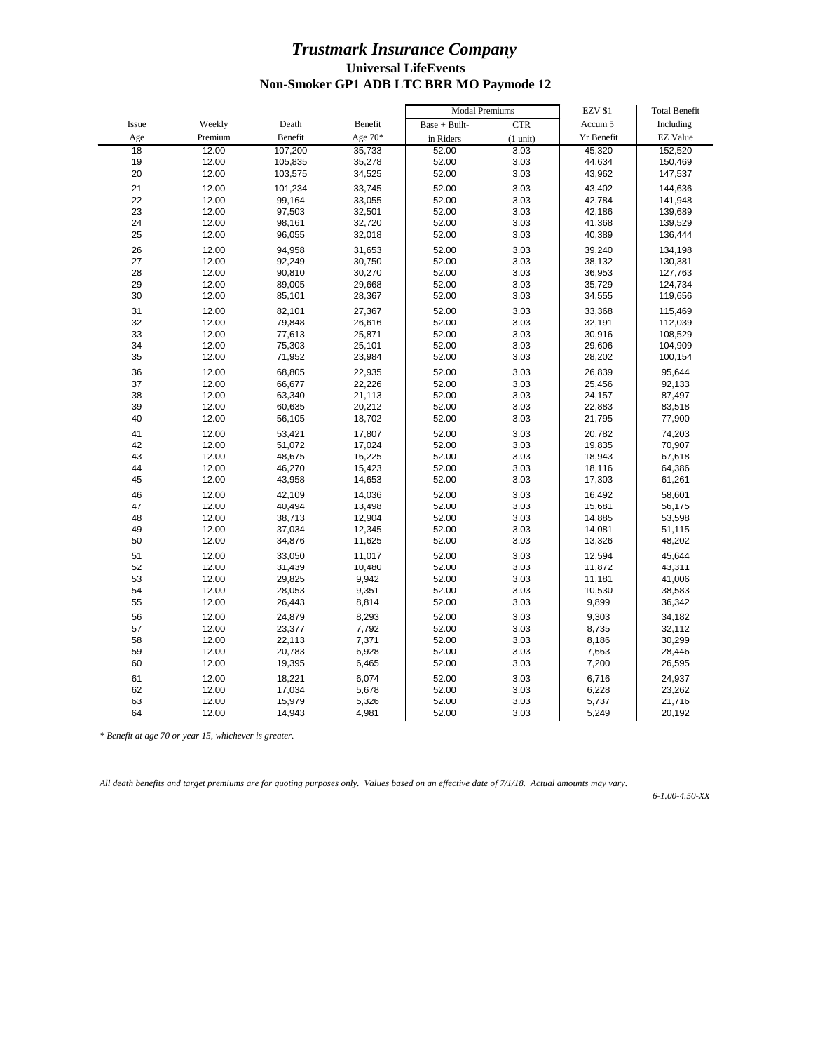|       |         |         |         | <b>Modal Premiums</b> |                    | <b>EZV \$1</b> | <b>Total Benefit</b> |
|-------|---------|---------|---------|-----------------------|--------------------|----------------|----------------------|
| Issue | Weekly  | Death   | Benefit | Base + Built-         | <b>CTR</b>         | Accum 5        | Including            |
| Age   | Premium | Benefit | Age 70* | in Riders             | $(1 \text{ unit})$ | Yr Benefit     | <b>EZ Value</b>      |
| 18    | 12.00   | 107,200 | 35,733  | 52.00                 | 3.03               | 45,320         | 152,520              |
| 19    | 12.00   | 105,835 | 35,278  | 52.00                 | 3.03               | 44,634         | 150,469              |
| 20    | 12.00   | 103,575 | 34,525  | 52.00                 | 3.03               | 43,962         | 147,537              |
| 21    | 12.00   | 101,234 | 33,745  | 52.00                 | 3.03               | 43,402         | 144,636              |
| 22    | 12.00   | 99,164  | 33,055  | 52.00                 | 3.03               | 42,784         | 141,948              |
| 23    | 12.00   | 97,503  | 32,501  | 52.00                 | 3.03               | 42,186         | 139,689              |
| 24    | 12.00   | 98,161  | 32,720  | 52.00                 | 3.03               | 41,368         | 139,529              |
| 25    | 12.00   | 96,055  | 32,018  | 52.00                 | 3.03               | 40,389         | 136,444              |
| 26    | 12.00   | 94,958  | 31,653  | 52.00                 | 3.03               | 39,240         | 134,198              |
| 27    | 12.00   | 92,249  | 30,750  | 52.00                 | 3.03               | 38,132         | 130,381              |
| 28    | 12.00   | 90,810  | 30,270  | 52.00                 | 3.03               | 36,953         | 127,763              |
| 29    | 12.00   | 89,005  | 29,668  | 52.00                 | 3.03               | 35,729         | 124,734              |
| 30    | 12.00   | 85,101  | 28,367  | 52.00                 | 3.03               | 34,555         | 119,656              |
| 31    | 12.00   | 82,101  | 27,367  | 52.00                 | 3.03               | 33,368         | 115,469              |
| 32    | 12.00   | 79,848  | 26,616  | 52.00                 | 3.03               | 32,191         | 112,039              |
| 33    | 12.00   | 77,613  | 25,871  | 52.00                 | 3.03               | 30,916         | 108,529              |
| 34    | 12.00   | 75,303  | 25,101  | 52.00                 | 3.03               | 29,606         | 104,909              |
| 35    | 12.00   | 71,952  | 23,984  | 52.00                 | 3.03               | 28,202         | 100,154              |
| 36    | 12.00   | 68,805  | 22,935  | 52.00                 | 3.03               | 26,839         | 95,644               |
| 37    | 12.00   | 66,677  | 22,226  | 52.00                 | 3.03               | 25,456         | 92,133               |
| 38    | 12.00   | 63,340  | 21,113  | 52.00                 | 3.03               | 24,157         | 87,497               |
| 39    | 12.00   | 60,635  | 20,212  | 52.00                 | 3.03               | 22,883         | 83,518               |
| 40    | 12.00   | 56,105  | 18,702  | 52.00                 | 3.03               | 21,795         | 77,900               |
| 41    | 12.00   | 53,421  | 17,807  | 52.00                 | 3.03               | 20,782         | 74,203               |
| 42    | 12.00   | 51,072  | 17,024  | 52.00                 | 3.03               | 19,835         | 70,907               |
| 43    | 12.00   | 48,675  | 16,225  | 52.00                 | 3.03               | 18,943         | 67,618               |
| 44    | 12.00   | 46,270  | 15,423  | 52.00                 | 3.03               | 18,116         | 64,386               |
| 45    | 12.00   | 43,958  | 14,653  | 52.00                 | 3.03               | 17,303         | 61,261               |
| 46    | 12.00   | 42,109  | 14,036  | 52.00                 | 3.03               | 16,492         | 58,601               |
| 47    | 12.00   | 40,494  | 13,498  | 52.00                 | 3.03               | 15,681         | 56,175               |
| 48    | 12.00   | 38,713  | 12,904  | 52.00                 | 3.03               | 14,885         | 53,598               |
| 49    | 12.00   | 37,034  | 12,345  | 52.00                 | 3.03               | 14,081         | 51,115               |
| 50    | 12.00   | 34,876  | 11,625  | 52.00                 | 3.03               | 13,326         | 48,202               |
| 51    | 12.00   | 33,050  | 11,017  | 52.00                 | 3.03               | 12,594         | 45,644               |
| 52    | 12.00   | 31,439  | 10,480  | 52.00                 | 3.03               | 11,872         | 43,311               |
| 53    | 12.00   | 29,825  | 9,942   | 52.00                 | 3.03               | 11,181         | 41,006               |
| 54    | 12.00   | 28,053  | 9,351   | 52.00                 | 3.03               | 10,530         | 38,583               |
| 55    | 12.00   | 26,443  | 8,814   | 52.00                 | 3.03               | 9,899          | 36,342               |
| 56    | 12.00   | 24,879  | 8,293   | 52.00                 | 3.03               | 9,303          | 34,182               |
| 57    | 12.00   | 23,377  | 7,792   | 52.00                 | 3.03               | 8,735          | 32,112               |
| 58    | 12.00   | 22,113  | 7,371   | 52.00                 | 3.03               | 8,186          | 30,299               |
| 59    | 12.00   | 20,783  | 6,928   | 52.00                 | 3.03               | 7,663          | 28,446               |
| 60    | 12.00   | 19,395  | 6,465   | 52.00                 | 3.03               | 7,200          | 26,595               |
| 61    | 12.00   | 18,221  | 6,074   | 52.00                 | 3.03               | 6,716          | 24,937               |
| 62    | 12.00   | 17,034  | 5,678   | 52.00                 | 3.03               | 6,228          | 23,262               |
| 63    | 12.00   | 15,979  | 5,326   | 52.00                 | 3.03               | 5,737          | 21,716               |
| 64    | 12.00   | 14,943  | 4,981   | 52.00                 | 3.03               | 5,249          | 20,192               |
|       |         |         |         |                       |                    |                |                      |

*\* Benefit at age 70 or year 15, whichever is greater.*

*All death benefits and target premiums are for quoting purposes only. Values based on an effective date of 7/1/18. Actual amounts may vary.*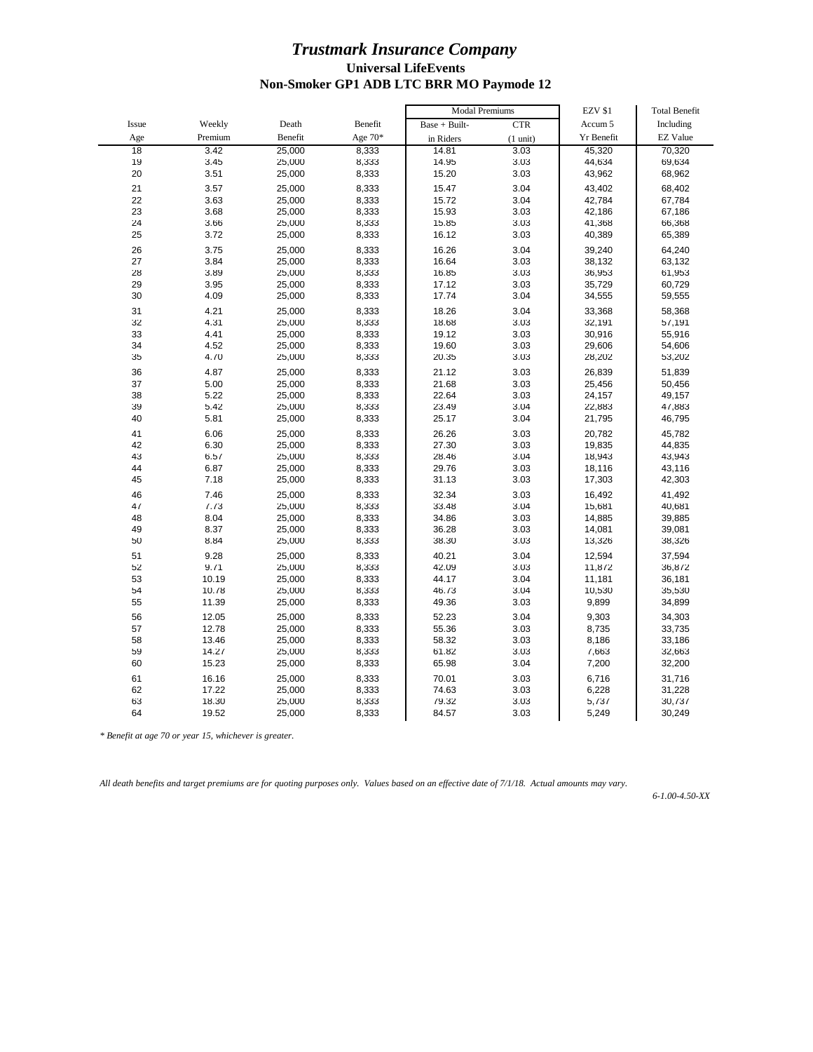| <b>Modal Premiums</b>                                                     | <b>EZV \$1</b> | <b>Total Benefit</b> |
|---------------------------------------------------------------------------|----------------|----------------------|
| Issue<br>Weekly<br>Death<br>Benefit<br>Base + Built-<br><b>CTR</b>        | Accum 5        | Including            |
| Premium<br>Benefit<br>Age $70*$<br>Age<br>in Riders<br>$(1 \text{ unit})$ | Yr Benefit     | <b>EZ Value</b>      |
| 18<br>3.42<br>25,000<br>8,333<br>14.81<br>3.03                            | 45,320         | 70,320               |
| 3.03<br>19<br>3.45<br>25,000<br>8,333<br>14.95                            | 44,634         | 69,634               |
| 20<br>8,333<br>15.20<br>3.03<br>3.51<br>25,000                            | 43,962         | 68,962               |
| 21<br>3.04<br>3.57<br>25,000<br>8,333<br>15.47                            | 43,402         | 68,402               |
| 22<br>8,333<br>3.04<br>3.63<br>25,000<br>15.72                            | 42,784         | 67,784               |
| 23<br>3.68<br>25,000<br>8,333<br>15.93<br>3.03                            | 42,186         | 67,186               |
| 24<br>3.66<br>25,000<br>8,333<br>15.85<br>3.03                            | 41,368         | 66,368               |
| 25<br>3.72<br>25,000<br>8,333<br>16.12<br>3.03                            | 40,389         | 65,389               |
| 26<br>3.75<br>8,333<br>3.04<br>25,000<br>16.26                            | 39,240         | 64,240               |
| 27<br>16.64<br>3.03<br>3.84<br>25,000<br>8,333                            | 38,132         | 63,132               |
| 28<br>8,333<br>16.85<br>3.03<br>3.89<br>25,000                            | 36,953         | 61,953               |
| 29<br>17.12<br>3.03<br>3.95<br>25,000<br>8,333                            | 35,729         | 60,729               |
| 30<br>17.74<br>3.04<br>4.09<br>25,000<br>8,333                            | 34,555         | 59,555               |
| 31<br>4.21<br>25,000<br>8,333<br>18.26<br>3.04                            | 33,368         | 58,368               |
| 8,333<br>3.03<br>32<br>4.31<br>25,000<br>18.68                            | 32,191         | 57,191               |
| 33<br>19.12<br>3.03<br>4.41<br>25,000<br>8,333                            | 30,916         | 55,916               |
| 34<br>4.52<br>25,000<br>8,333<br>19.60<br>3.03                            | 29,606         | 54,606               |
| 35<br>4.70<br>20.35<br>3.03<br>25,000<br>8,333                            | 28,202         | 53,202               |
| 36<br>3.03<br>4.87<br>25,000<br>8,333<br>21.12                            | 26,839         | 51,839               |
| 37<br>5.00<br>25,000<br>8,333<br>21.68<br>3.03                            | 25,456         | 50,456               |
| 38<br>3.03<br>5.22<br>25,000<br>8,333<br>22.64                            | 24,157         | 49,157               |
| 39<br>8,333<br>3.04<br>5.42<br>25,000<br>23.49                            | 22,883         | 47,883               |
| 3.04<br>40<br>5.81<br>25,000<br>8,333<br>25.17                            | 21,795         | 46,795               |
| 41<br>6.06<br>3.03<br>25,000<br>8,333<br>26.26                            | 20,782         | 45,782               |
| 42<br>6.30<br>8,333<br>27.30<br>3.03<br>25,000                            | 19,835         | 44,835               |
| 43<br>6.57<br>25,000<br>8,333<br>28.46<br>3.04                            | 18,943         | 43,943               |
| 44<br>6.87<br>25,000<br>8,333<br>29.76<br>3.03                            | 18,116         | 43,116               |
| 45<br>7.18<br>25,000<br>8,333<br>31.13<br>3.03                            | 17,303         | 42,303               |
| 46<br>32.34<br>3.03<br>7.46<br>25,000<br>8,333                            | 16,492         | 41,492               |
| 47<br>7.73<br>8,333<br>33.48<br>3.04<br>25,000                            | 15,681         | 40,681               |
| 8.04<br>8,333<br>34.86<br>3.03<br>48<br>25,000                            | 14,885         | 39,885               |
| 49<br>8.37<br>3.03<br>25,000<br>8,333<br>36.28                            | 14,081         | 39,081               |
| 50<br>3.03<br>8.84<br>25,000<br>8,333<br>38.30                            | 13,326         | 38,326               |
| 51<br>9.28<br>40.21<br>3.04<br>25,000<br>8,333                            | 12,594         | 37,594               |
| 52<br>9.71<br>8,333<br>42.09<br>3.03<br>25,000                            | 11,872         | 36,872               |
| 53<br>3.04<br>10.19<br>25,000<br>8,333<br>44.17                           | 11,181         | 36,181               |
| 54<br>10.78<br>8,333<br>46.73<br>3.04<br>25,000                           | 10,530         | 35,530               |
| 55<br>11.39<br>8,333<br>49.36<br>3.03<br>25,000                           | 9,899          | 34,899               |
| 56<br>12.05<br>8,333<br>52.23<br>3.04<br>25,000                           | 9,303          | 34,303               |
| 57<br>3.03<br>12.78<br>25,000<br>8,333<br>55.36                           | 8,735          | 33,735               |
| 58<br>8,333<br>58.32<br>3.03<br>13.46<br>25,000                           | 8,186          | 33,186               |
| 59<br>14.27<br>8,333<br>61.82<br>3.03<br>25,000                           | 7,663          | 32,663               |
| 60<br>15.23<br>8,333<br>65.98<br>3.04<br>25,000                           | 7,200          | 32,200               |
| 61<br>16.16<br>25,000<br>8,333<br>70.01<br>3.03                           | 6,716          | 31,716               |
| 62<br>17.22<br>25,000<br>8,333<br>74.63<br>3.03                           | 6,228          | 31,228               |
| 79.32<br>63<br>18.30<br>25,000<br>8,333<br>3.03                           | 5,737          | 30,737               |
| 64<br>19.52<br>25,000<br>8,333<br>84.57<br>3.03                           | 5,249          | 30,249               |

*\* Benefit at age 70 or year 15, whichever is greater.*

*All death benefits and target premiums are for quoting purposes only. Values based on an effective date of 7/1/18. Actual amounts may vary.*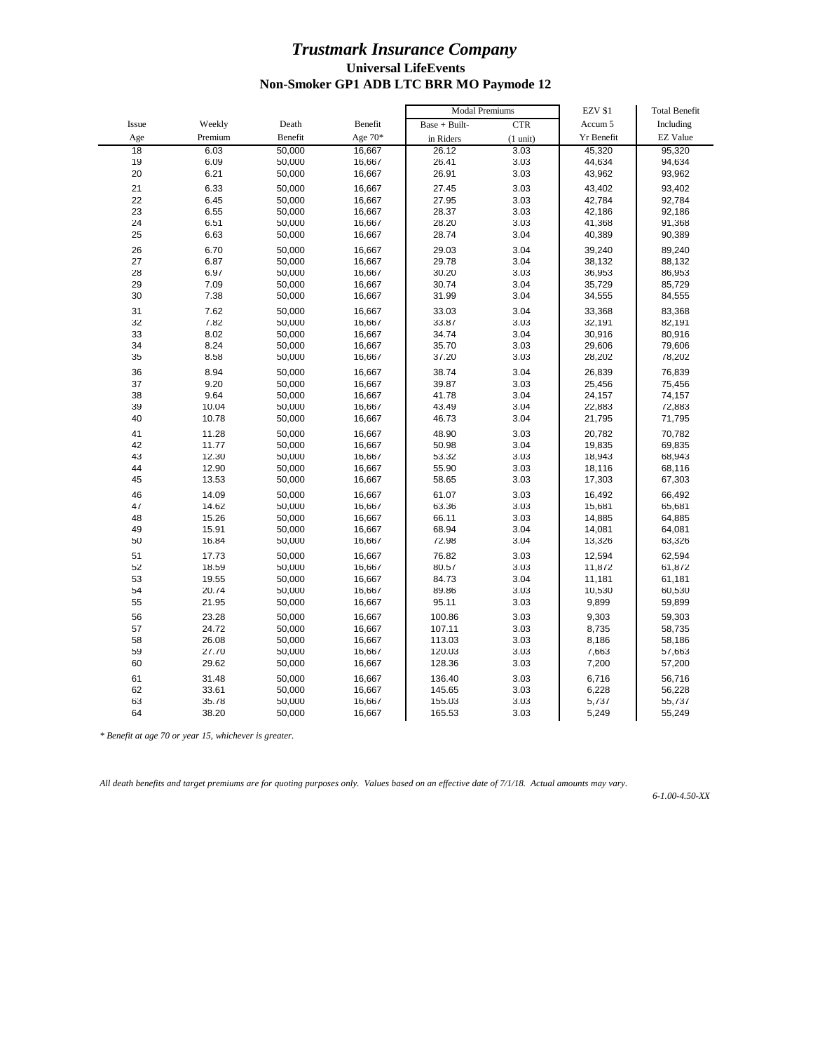|       |         |         |         | <b>Modal Premiums</b> |                    | <b>EZV \$1</b> | <b>Total Benefit</b> |
|-------|---------|---------|---------|-----------------------|--------------------|----------------|----------------------|
| Issue | Weekly  | Death   | Benefit | Base + Built-         | <b>CTR</b>         | Accum 5        | Including            |
| Age   | Premium | Benefit | Age 70* | in Riders             | $(1 \text{ unit})$ | Yr Benefit     | <b>EZ Value</b>      |
| 18    | 6.03    | 50.000  | 16.667  | 26.12                 | 3.03               | 45,320         | 95,320               |
| 19    | 6.09    | 50,000  | 16,667  | 26.41                 | 3.03               | 44,634         | 94,634               |
| 20    | 6.21    | 50,000  | 16,667  | 26.91                 | 3.03               | 43,962         | 93,962               |
| 21    | 6.33    | 50,000  | 16,667  | 27.45                 | 3.03               | 43,402         | 93,402               |
| 22    | 6.45    | 50,000  | 16,667  | 27.95                 | 3.03               | 42,784         | 92,784               |
| 23    | 6.55    | 50,000  | 16,667  | 28.37                 | 3.03               | 42,186         | 92,186               |
| 24    | 6.51    | 50,000  | 16,667  | 28.20                 | 3.03               | 41,368         | 91,368               |
| 25    | 6.63    | 50,000  | 16,667  | 28.74                 | 3.04               | 40,389         | 90,389               |
| 26    | 6.70    | 50,000  | 16,667  | 29.03                 | 3.04               | 39,240         | 89,240               |
| 27    | 6.87    | 50,000  | 16,667  | 29.78                 | 3.04               | 38,132         | 88,132               |
| 28    | 6.97    | 50,000  | 16,667  | 30.20                 | 3.03               | 36,953         | 86,953               |
| 29    | 7.09    | 50,000  | 16,667  | 30.74                 | 3.04               | 35,729         | 85,729               |
| 30    | 7.38    | 50,000  | 16,667  | 31.99                 | 3.04               | 34,555         | 84,555               |
| 31    | 7.62    | 50,000  | 16,667  | 33.03                 | 3.04               | 33,368         | 83,368               |
| 32    | 7.82    | 50,000  | 16,667  | 33.87                 | 3.03               | 32,191         | 82,191               |
| 33    | 8.02    | 50,000  | 16,667  | 34.74                 | 3.04               | 30,916         | 80,916               |
| 34    | 8.24    | 50,000  | 16,667  | 35.70                 | 3.03               | 29,606         | 79,606               |
| 35    | 8.58    | 50,000  | 16,667  | 37.20                 | 3.03               | 28,202         | 78,202               |
| 36    | 8.94    | 50,000  | 16,667  | 38.74                 | 3.04               | 26,839         | 76,839               |
| 37    | 9.20    | 50,000  | 16,667  | 39.87                 | 3.03               | 25,456         | 75,456               |
| 38    | 9.64    | 50,000  | 16,667  | 41.78                 | 3.04               | 24,157         | 74,157               |
| 39    | 10.04   | 50,000  | 16,667  | 43.49                 | 3.04               | 22,883         | 72,883               |
| 40    | 10.78   | 50,000  | 16,667  | 46.73                 | 3.04               | 21,795         | 71,795               |
| 41    | 11.28   | 50,000  | 16,667  | 48.90                 | 3.03               | 20,782         | 70,782               |
| 42    | 11.77   | 50,000  | 16,667  | 50.98                 | 3.04               | 19,835         | 69,835               |
| 43    | 12.30   | 50,000  | 16,667  | 53.32                 | 3.03               | 18,943         | 68,943               |
| 44    | 12.90   | 50,000  | 16,667  | 55.90                 | 3.03               | 18,116         | 68,116               |
| 45    | 13.53   | 50,000  | 16,667  | 58.65                 | 3.03               | 17,303         | 67,303               |
| 46    | 14.09   | 50,000  | 16,667  | 61.07                 | 3.03               | 16,492         | 66,492               |
| 47    | 14.62   | 50,000  | 16,667  | 63.36                 | 3.03               | 15,681         | 65,681               |
| 48    | 15.26   | 50,000  | 16,667  | 66.11                 | 3.03               | 14,885         | 64,885               |
| 49    | 15.91   | 50,000  | 16,667  | 68.94                 | 3.04               | 14,081         | 64,081               |
| 50    | 16.84   | 50,000  | 16,667  | 72.98                 | 3.04               | 13,326         | 63,326               |
| 51    | 17.73   | 50,000  | 16,667  | 76.82                 | 3.03               | 12,594         | 62,594               |
| 52    | 18.59   | 50,000  | 16,667  | 80.57                 | 3.03               | 11,872         | 61,872               |
| 53    | 19.55   | 50,000  | 16,667  | 84.73                 | 3.04               | 11,181         | 61,181               |
| 54    | 20.74   | 50,000  | 16,667  | 89.86                 | 3.03               | 10,530         | 60,530               |
| 55    | 21.95   | 50,000  | 16,667  | 95.11                 | 3.03               | 9,899          | 59,899               |
| 56    | 23.28   | 50,000  | 16,667  | 100.86                | 3.03               | 9,303          | 59,303               |
| 57    | 24.72   | 50,000  | 16,667  | 107.11                | 3.03               | 8,735          | 58,735               |
| 58    | 26.08   | 50,000  | 16,667  | 113.03                | 3.03               | 8,186          | 58,186               |
| 59    | 27.70   | 50,000  | 16,667  | 120.03                | 3.03               | 7,663          | 57,663               |
| 60    | 29.62   | 50,000  | 16,667  | 128.36                | 3.03               | 7,200          | 57,200               |
| 61    | 31.48   | 50,000  | 16,667  | 136.40                | 3.03               | 6,716          | 56,716               |
| 62    | 33.61   | 50,000  | 16,667  | 145.65                | 3.03               | 6,228          | 56,228               |
| 63    | 35.78   | 50,000  | 16,667  | 155.03                | 3.03               | 5,737          | 55,737               |
| 64    | 38.20   | 50,000  | 16,667  | 165.53                | 3.03               | 5,249          | 55,249               |
|       |         |         |         |                       |                    |                |                      |

*\* Benefit at age 70 or year 15, whichever is greater.*

*All death benefits and target premiums are for quoting purposes only. Values based on an effective date of 7/1/18. Actual amounts may vary.*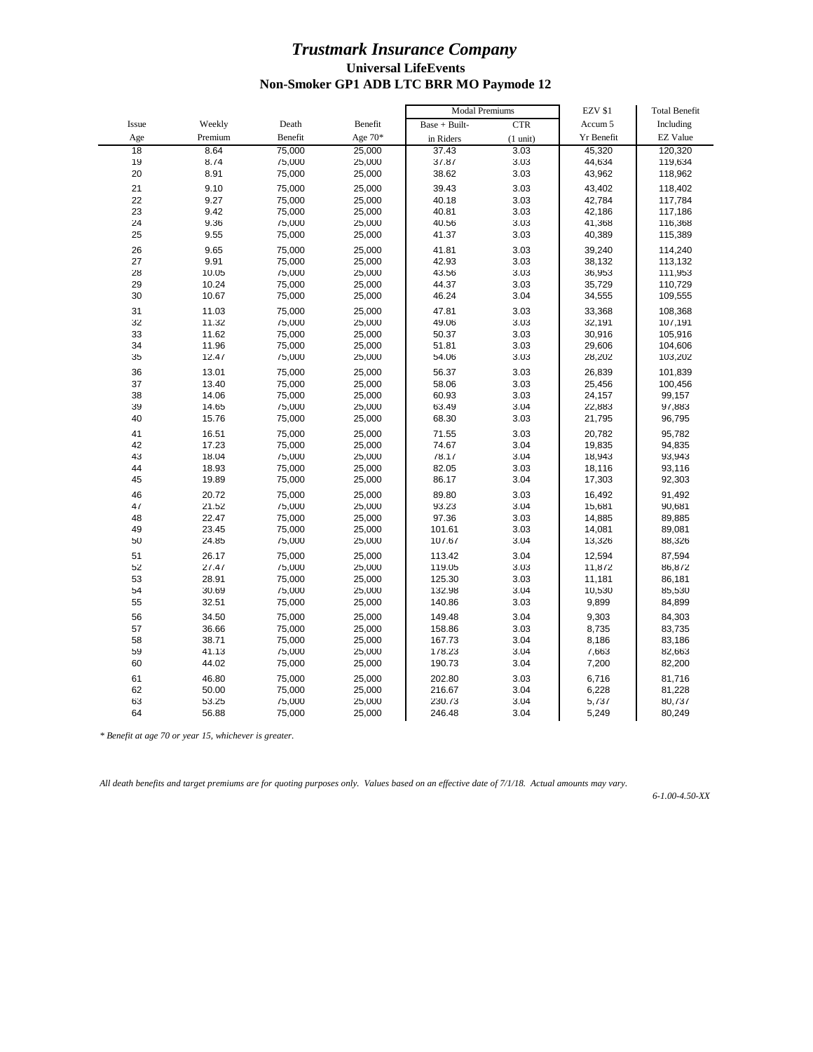|       |         |         |         | <b>Modal Premiums</b> |                    | <b>EZV \$1</b> | <b>Total Benefit</b> |
|-------|---------|---------|---------|-----------------------|--------------------|----------------|----------------------|
| Issue | Weekly  | Death   | Benefit | Base + Built-         | <b>CTR</b>         | Accum 5        | Including            |
| Age   | Premium | Benefit | Age 70* | in Riders             | $(1 \text{ unit})$ | Yr Benefit     | <b>EZ Value</b>      |
| 18    | 8.64    | 75,000  | 25.000  | 37.43                 | 3.03               | 45,320         | 120,320              |
| 19    | 8.74    | 75,000  | 25,000  | 37.87                 | 3.03               | 44,634         | 119,634              |
| 20    | 8.91    | 75,000  | 25,000  | 38.62                 | 3.03               | 43,962         | 118,962              |
| 21    | 9.10    | 75,000  | 25,000  | 39.43                 | 3.03               | 43,402         | 118,402              |
| 22    | 9.27    | 75,000  | 25,000  | 40.18                 | 3.03               | 42,784         | 117,784              |
| 23    | 9.42    | 75,000  | 25,000  | 40.81                 | 3.03               | 42,186         | 117,186              |
| 24    | 9.36    | 75,000  | 25,000  | 40.56                 | 3.03               | 41,368         | 116,368              |
| 25    | 9.55    | 75,000  | 25,000  | 41.37                 | 3.03               | 40,389         | 115,389              |
| 26    | 9.65    | 75,000  | 25,000  | 41.81                 | 3.03               | 39,240         | 114,240              |
| 27    | 9.91    | 75,000  | 25,000  | 42.93                 | 3.03               | 38,132         | 113,132              |
| 28    | 10.05   | 75,000  | 25,000  | 43.56                 | 3.03               | 36,953         | 111,953              |
| 29    | 10.24   | 75,000  | 25,000  | 44.37                 | 3.03               | 35,729         | 110,729              |
| 30    | 10.67   | 75,000  | 25,000  | 46.24                 | 3.04               | 34,555         | 109,555              |
| 31    | 11.03   | 75,000  | 25,000  | 47.81                 | 3.03               | 33,368         | 108,368              |
| 32    | 11.32   | 75,000  | 25,000  | 49.06                 | 3.03               | 32,191         | 107,191              |
| 33    | 11.62   | 75,000  | 25,000  | 50.37                 | 3.03               | 30,916         | 105,916              |
| 34    | 11.96   | 75,000  | 25,000  | 51.81                 | 3.03               | 29,606         | 104,606              |
| 35    | 12.47   | 75,000  | 25,000  | 54.06                 | 3.03               | 28,202         | 103,202              |
| 36    | 13.01   | 75,000  | 25,000  | 56.37                 | 3.03               | 26,839         | 101,839              |
| 37    | 13.40   | 75,000  | 25,000  | 58.06                 | 3.03               | 25,456         | 100,456              |
| 38    | 14.06   | 75,000  | 25,000  | 60.93                 | 3.03               | 24,157         | 99,157               |
| 39    | 14.65   | 75,000  | 25,000  | 63.49                 | 3.04               | 22,883         | 97,883               |
| 40    | 15.76   | 75,000  | 25,000  | 68.30                 | 3.03               | 21,795         | 96,795               |
| 41    | 16.51   | 75,000  | 25,000  | 71.55                 | 3.03               | 20,782         | 95,782               |
| 42    | 17.23   | 75,000  | 25,000  | 74.67                 | 3.04               | 19,835         | 94,835               |
| 43    | 18.04   | 75,000  | 25,000  | 78.17                 | 3.04               | 18,943         | 93,943               |
| 44    | 18.93   | 75,000  | 25,000  | 82.05                 | 3.03               | 18,116         | 93,116               |
| 45    | 19.89   | 75,000  | 25,000  | 86.17                 | 3.04               | 17,303         | 92,303               |
| 46    | 20.72   | 75,000  | 25,000  | 89.80                 | 3.03               | 16,492         | 91,492               |
| 47    | 21.52   | 75,000  | 25,000  | 93.23                 | 3.04               | 15,681         | 90,681               |
| 48    | 22.47   | 75,000  | 25,000  | 97.36                 | 3.03               | 14,885         | 89,885               |
| 49    | 23.45   | 75,000  | 25,000  | 101.61                | 3.03               | 14,081         | 89,081               |
| 50    | 24.85   | 75,000  | 25,000  | 107.67                | 3.04               | 13,326         | 88,326               |
| 51    | 26.17   | 75,000  | 25,000  | 113.42                | 3.04               | 12,594         | 87,594               |
| 52    | 27.47   | 75,000  | 25,000  | 119.05                | 3.03               | 11,872         | 86,872               |
| 53    | 28.91   | 75,000  | 25,000  | 125.30                | 3.03               | 11,181         | 86,181               |
| 54    | 30.69   | 75,000  | 25,000  | 132.98                | 3.04               | 10,530         | 85,530               |
| 55    | 32.51   | 75,000  | 25,000  | 140.86                | 3.03               | 9,899          | 84,899               |
| 56    | 34.50   | 75,000  | 25,000  | 149.48                | 3.04               | 9,303          | 84,303               |
| 57    | 36.66   | 75,000  | 25,000  | 158.86                | 3.03               | 8,735          | 83,735               |
| 58    | 38.71   | 75,000  | 25,000  | 167.73                | 3.04               | 8,186          | 83,186               |
| 59    | 41.13   | 75,000  | 25,000  | 178.23                | 3.04               | 7,663          | 82,663               |
| 60    | 44.02   | 75,000  | 25,000  | 190.73                | 3.04               | 7,200          | 82,200               |
| 61    | 46.80   | 75,000  | 25,000  | 202.80                | 3.03               | 6,716          | 81,716               |
| 62    | 50.00   | 75,000  | 25,000  | 216.67                | 3.04               | 6,228          | 81,228               |
| 63    | 53.25   | 75,000  | 25,000  | 230.73                | 3.04               | 5,737          | 80,737               |
| 64    | 56.88   | 75,000  | 25,000  | 246.48                | 3.04               | 5,249          | 80,249               |
|       |         |         |         |                       |                    |                |                      |

*\* Benefit at age 70 or year 15, whichever is greater.*

*All death benefits and target premiums are for quoting purposes only. Values based on an effective date of 7/1/18. Actual amounts may vary.*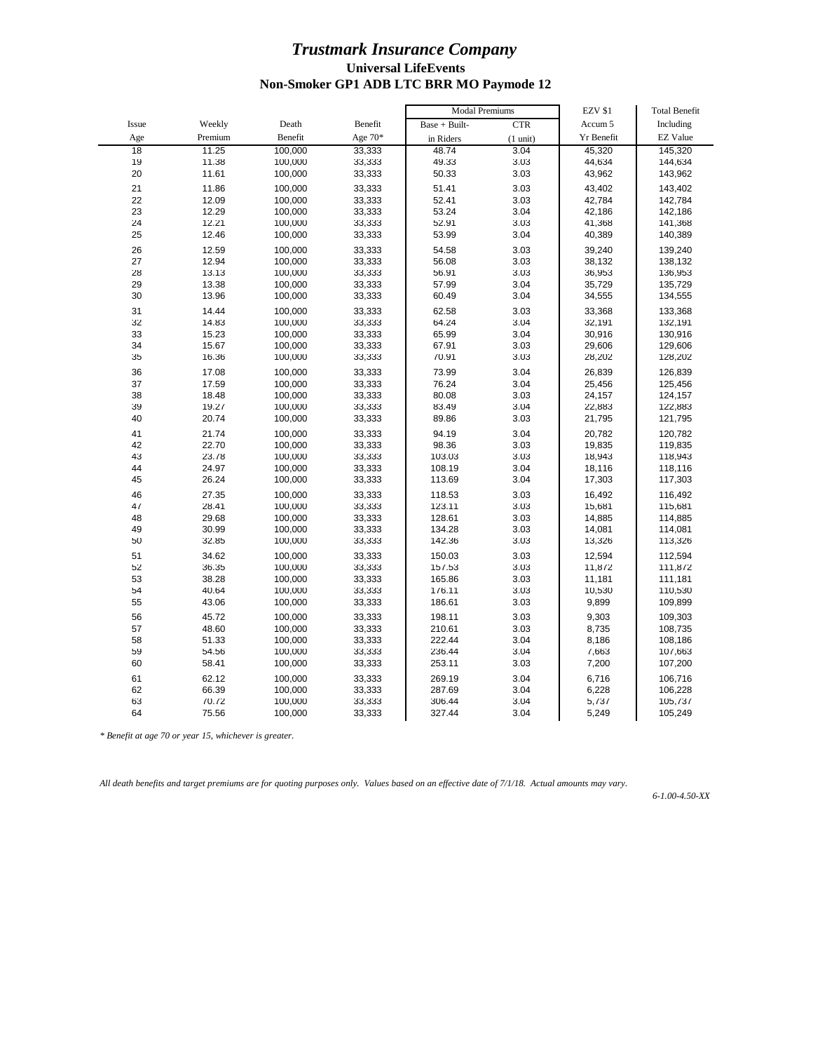|       |         |         |         | <b>Modal Premiums</b> |                    | <b>EZV \$1</b> | <b>Total Benefit</b> |
|-------|---------|---------|---------|-----------------------|--------------------|----------------|----------------------|
| Issue | Weekly  | Death   | Benefit | Base + Built-         | <b>CTR</b>         | Accum 5        | Including            |
| Age   | Premium | Benefit | Age 70* | in Riders             | $(1 \text{ unit})$ | Yr Benefit     | <b>EZ Value</b>      |
| 18    | 11.25   | 100.000 | 33,333  | 48.74                 | 3.04               | 45,320         | 145,320              |
| 19    | 11.38   | 100,000 | 33,333  | 49.33                 | 3.03               | 44,634         | 144,634              |
| 20    | 11.61   | 100,000 | 33,333  | 50.33                 | 3.03               | 43,962         | 143,962              |
| 21    | 11.86   | 100,000 | 33,333  | 51.41                 | 3.03               | 43,402         | 143,402              |
| 22    | 12.09   | 100,000 | 33,333  | 52.41                 | 3.03               | 42,784         | 142,784              |
| 23    | 12.29   | 100,000 | 33,333  | 53.24                 | 3.04               | 42,186         | 142,186              |
| 24    | 12.21   | 100,000 | 33,333  | 52.91                 | 3.03               | 41,368         | 141,368              |
| 25    | 12.46   | 100,000 | 33,333  | 53.99                 | 3.04               | 40,389         | 140,389              |
| 26    | 12.59   | 100,000 | 33,333  | 54.58                 | 3.03               | 39,240         | 139,240              |
| 27    | 12.94   | 100,000 | 33,333  | 56.08                 | 3.03               | 38,132         | 138,132              |
| 28    | 13.13   | 100,000 | 33,333  | 56.91                 | 3.03               | 36,953         | 136,953              |
| 29    | 13.38   | 100,000 | 33,333  | 57.99                 | 3.04               | 35,729         | 135,729              |
| 30    | 13.96   | 100,000 | 33,333  | 60.49                 | 3.04               | 34,555         | 134,555              |
| 31    | 14.44   | 100,000 | 33,333  | 62.58                 | 3.03               | 33,368         | 133,368              |
| 32    | 14.83   | 100,000 | 33,333  | 64.24                 | 3.04               | 32,191         | 132,191              |
| 33    | 15.23   | 100,000 | 33,333  | 65.99                 | 3.04               | 30,916         | 130,916              |
| 34    | 15.67   | 100,000 | 33,333  | 67.91                 | 3.03               | 29,606         | 129,606              |
| 35    | 16.36   | 100,000 | 33,333  | 70.91                 | 3.03               | 28,202         | 128,202              |
| 36    | 17.08   | 100,000 | 33,333  | 73.99                 | 3.04               | 26,839         | 126,839              |
| 37    | 17.59   | 100,000 | 33,333  | 76.24                 | 3.04               | 25,456         | 125,456              |
| 38    | 18.48   | 100,000 | 33,333  | 80.08                 | 3.03               | 24,157         | 124,157              |
| 39    | 19.27   | 100,000 | 33,333  | 83.49                 | 3.04               | 22,883         | 122,883              |
| 40    | 20.74   | 100,000 | 33,333  | 89.86                 | 3.03               | 21,795         | 121,795              |
| 41    | 21.74   | 100,000 | 33,333  | 94.19                 | 3.04               | 20,782         | 120,782              |
| 42    | 22.70   | 100,000 | 33,333  | 98.36                 | 3.03               | 19,835         | 119,835              |
| 43    | 23.78   | 100,000 | 33,333  | 103.03                | 3.03               | 18,943         | 118,943              |
| 44    | 24.97   | 100,000 | 33,333  | 108.19                | 3.04               | 18,116         | 118,116              |
| 45    | 26.24   | 100,000 | 33,333  | 113.69                | 3.04               | 17,303         | 117,303              |
| 46    | 27.35   | 100,000 | 33,333  | 118.53                | 3.03               | 16,492         | 116,492              |
| 47    | 28.41   | 100,000 | 33,333  | 123.11                | 3.03               | 15,681         | 115,681              |
| 48    | 29.68   | 100,000 | 33,333  | 128.61                | 3.03               | 14,885         | 114,885              |
| 49    | 30.99   | 100,000 | 33,333  | 134.28                | 3.03               | 14,081         | 114,081              |
| 50    | 32.85   | 100,000 | 33,333  | 142.36                | 3.03               | 13,326         | 113,326              |
| 51    | 34.62   | 100,000 | 33,333  | 150.03                | 3.03               | 12,594         | 112,594              |
| 52    | 36.35   | 100,000 | 33,333  | 157.53                | 3.03               | 11,872         | 111,872              |
| 53    | 38.28   | 100,000 | 33,333  | 165.86                | 3.03               | 11,181         | 111,181              |
| 54    | 40.64   | 100,000 | 33,333  | 176.11                | 3.03               | 10,530         | 110,530              |
| 55    | 43.06   | 100,000 | 33,333  | 186.61                | 3.03               | 9,899          | 109,899              |
| 56    | 45.72   | 100,000 | 33,333  | 198.11                | 3.03               | 9,303          | 109,303              |
| 57    | 48.60   | 100,000 | 33,333  | 210.61                | 3.03               | 8,735          | 108,735              |
| 58    | 51.33   | 100,000 | 33,333  | 222.44                | 3.04               | 8,186          | 108,186              |
| 59    | 54.56   | 100,000 | 33,333  | 236.44                | 3.04               | 7,663          | 107,663              |
| 60    | 58.41   | 100,000 | 33,333  | 253.11                | 3.03               | 7,200          | 107,200              |
| 61    | 62.12   | 100,000 | 33,333  | 269.19                | 3.04               | 6,716          | 106,716              |
| 62    | 66.39   | 100,000 | 33,333  | 287.69                | 3.04               | 6,228          | 106,228              |
| 63    | 70.72   | 100,000 | 33,333  | 306.44                | 3.04               | 5,737          | 105,737              |
| 64    | 75.56   | 100,000 | 33,333  | 327.44                | 3.04               | 5,249          | 105,249              |
|       |         |         |         |                       |                    |                |                      |

*\* Benefit at age 70 or year 15, whichever is greater.*

*All death benefits and target premiums are for quoting purposes only. Values based on an effective date of 7/1/18. Actual amounts may vary.*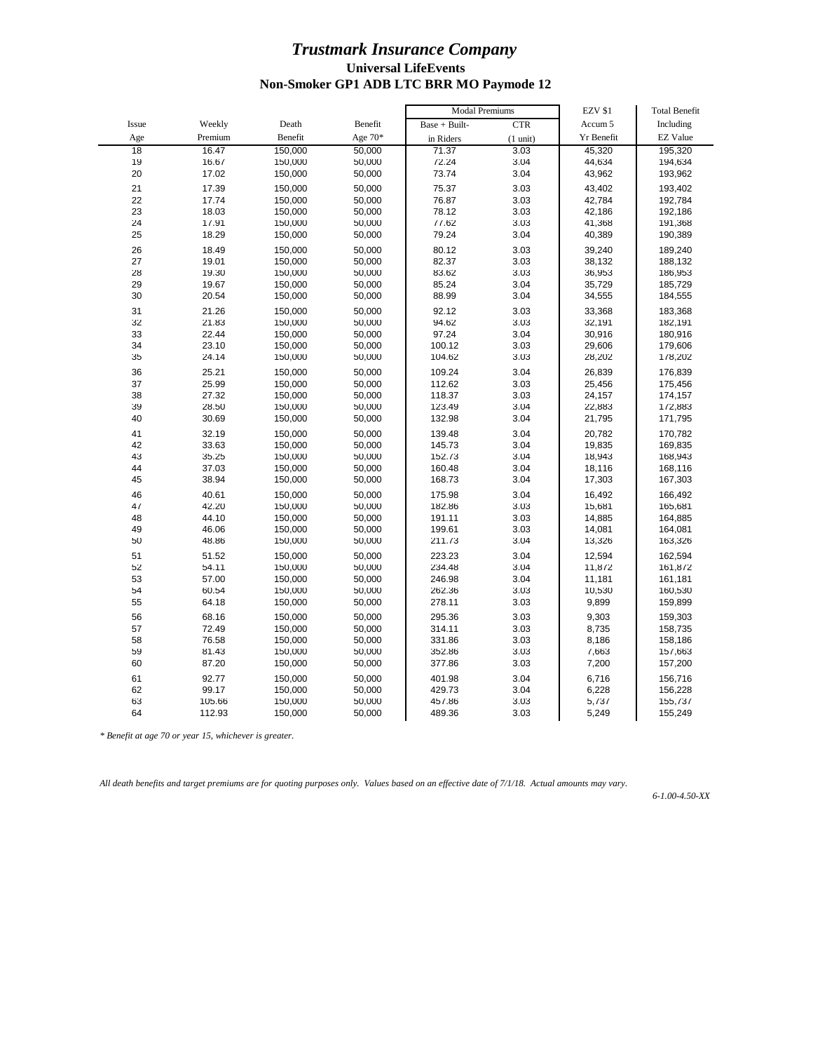|       |         |         |           | <b>Modal Premiums</b> |                    | <b>EZV \$1</b> | <b>Total Benefit</b> |
|-------|---------|---------|-----------|-----------------------|--------------------|----------------|----------------------|
| Issue | Weekly  | Death   | Benefit   | Base + Built-         | <b>CTR</b>         | Accum 5        | Including            |
| Age   | Premium | Benefit | Age $70*$ | in Riders             | $(1 \text{ unit})$ | Yr Benefit     | <b>EZ Value</b>      |
| 18    | 16.47   | 150,000 | 50,000    | 71.37                 | 3.03               | 45,320         | 195,320              |
| 19    | 16.67   | 150,000 | 50,000    | 72.24                 | 3.04               | 44,634         | 194,634              |
| 20    | 17.02   | 150,000 | 50,000    | 73.74                 | 3.04               | 43,962         | 193,962              |
| 21    | 17.39   | 150,000 | 50,000    | 75.37                 | 3.03               | 43,402         | 193,402              |
| 22    | 17.74   | 150,000 | 50,000    | 76.87                 | 3.03               | 42,784         | 192,784              |
| 23    | 18.03   | 150,000 | 50,000    | 78.12                 | 3.03               | 42,186         | 192,186              |
| 24    | 17.91   | 150,000 | 50,000    | 77.62                 | 3.03               | 41,368         | 191,368              |
| 25    | 18.29   | 150,000 | 50,000    | 79.24                 | 3.04               | 40,389         | 190,389              |
| 26    | 18.49   | 150,000 | 50,000    | 80.12                 | 3.03               | 39,240         | 189,240              |
| 27    | 19.01   | 150,000 | 50,000    | 82.37                 | 3.03               | 38,132         | 188,132              |
| 28    | 19.30   | 150,000 | 50,000    | 83.62                 | 3.03               | 36,953         | 186,953              |
| 29    | 19.67   | 150,000 | 50,000    | 85.24                 | 3.04               | 35,729         | 185,729              |
| 30    | 20.54   | 150,000 | 50,000    | 88.99                 | 3.04               | 34,555         | 184,555              |
| 31    | 21.26   | 150,000 | 50,000    | 92.12                 | 3.03               | 33,368         | 183,368              |
| 32    | 21.83   | 150,000 | 50,000    | 94.62                 | 3.03               | 32,191         | 182,191              |
| 33    | 22.44   | 150,000 | 50,000    | 97.24                 | 3.04               | 30,916         | 180,916              |
| 34    | 23.10   | 150,000 | 50,000    | 100.12                | 3.03               | 29,606         | 179,606              |
| 35    | 24.14   | 150,000 | 50,000    | 104.62                | 3.03               | 28,202         | 178,202              |
| 36    | 25.21   | 150,000 | 50,000    | 109.24                | 3.04               | 26,839         | 176,839              |
| 37    | 25.99   | 150,000 | 50,000    | 112.62                | 3.03               | 25,456         | 175,456              |
| 38    | 27.32   | 150,000 | 50,000    | 118.37                | 3.03               | 24,157         | 174,157              |
| 39    | 28.50   | 150,000 | 50,000    | 123.49                | 3.04               | 22,883         | 172,883              |
| 40    | 30.69   | 150,000 | 50,000    | 132.98                | 3.04               | 21,795         | 171,795              |
| 41    | 32.19   | 150,000 | 50,000    | 139.48                | 3.04               | 20,782         | 170,782              |
| 42    | 33.63   | 150,000 | 50,000    | 145.73                | 3.04               | 19,835         | 169,835              |
| 43    | 35.25   | 150,000 | 50,000    | 152.73                | 3.04               | 18,943         | 168,943              |
| 44    | 37.03   | 150,000 | 50,000    | 160.48                | 3.04               | 18,116         | 168,116              |
| 45    | 38.94   | 150,000 | 50,000    | 168.73                | 3.04               | 17,303         | 167,303              |
| 46    | 40.61   | 150,000 | 50,000    | 175.98                | 3.04               | 16,492         | 166,492              |
| 47    | 42.20   | 150,000 | 50,000    | 182.86                | 3.03               | 15,681         | 165,681              |
| 48    | 44.10   | 150,000 | 50,000    | 191.11                | 3.03               | 14,885         | 164,885              |
| 49    | 46.06   | 150,000 | 50,000    | 199.61                | 3.03               | 14,081         | 164,081              |
| 50    | 48.86   | 150,000 | 50,000    | 211.73                | 3.04               | 13,326         | 163,326              |
| 51    | 51.52   | 150,000 | 50,000    | 223.23                | 3.04               | 12,594         | 162,594              |
| 52    | 54.11   | 150,000 | 50,000    | 234.48                | 3.04               | 11,872         | 161,872              |
| 53    | 57.00   | 150,000 | 50,000    | 246.98                | 3.04               | 11,181         | 161,181              |
| 54    | 60.54   | 150,000 | 50,000    | 262.36                | 3.03               | 10,530         | 160,530              |
| 55    | 64.18   | 150,000 | 50,000    | 278.11                | 3.03               | 9,899          | 159,899              |
| 56    | 68.16   | 150,000 | 50,000    | 295.36                | 3.03               | 9,303          | 159,303              |
| 57    | 72.49   | 150,000 | 50,000    | 314.11                | 3.03               | 8,735          | 158,735              |
| 58    | 76.58   | 150,000 | 50,000    | 331.86                | 3.03               | 8,186          | 158,186              |
| 59    | 81.43   | 150,000 | 50,000    | 352.86                | 3.03               | 7,663          | 157,663              |
| 60    | 87.20   | 150,000 | 50,000    | 377.86                | 3.03               | 7,200          | 157,200              |
| 61    | 92.77   | 150,000 | 50,000    | 401.98                | 3.04               | 6,716          | 156,716              |
| 62    | 99.17   | 150,000 | 50,000    | 429.73                | 3.04               | 6,228          | 156,228              |
| 63    | 105.66  | 150,000 | 50,000    | 457.86                | 3.03               | 5,737          | 155,737              |
| 64    | 112.93  | 150,000 | 50,000    | 489.36                | 3.03               | 5,249          | 155,249              |
|       |         |         |           |                       |                    |                |                      |

*\* Benefit at age 70 or year 15, whichever is greater.*

*All death benefits and target premiums are for quoting purposes only. Values based on an effective date of 7/1/18. Actual amounts may vary.*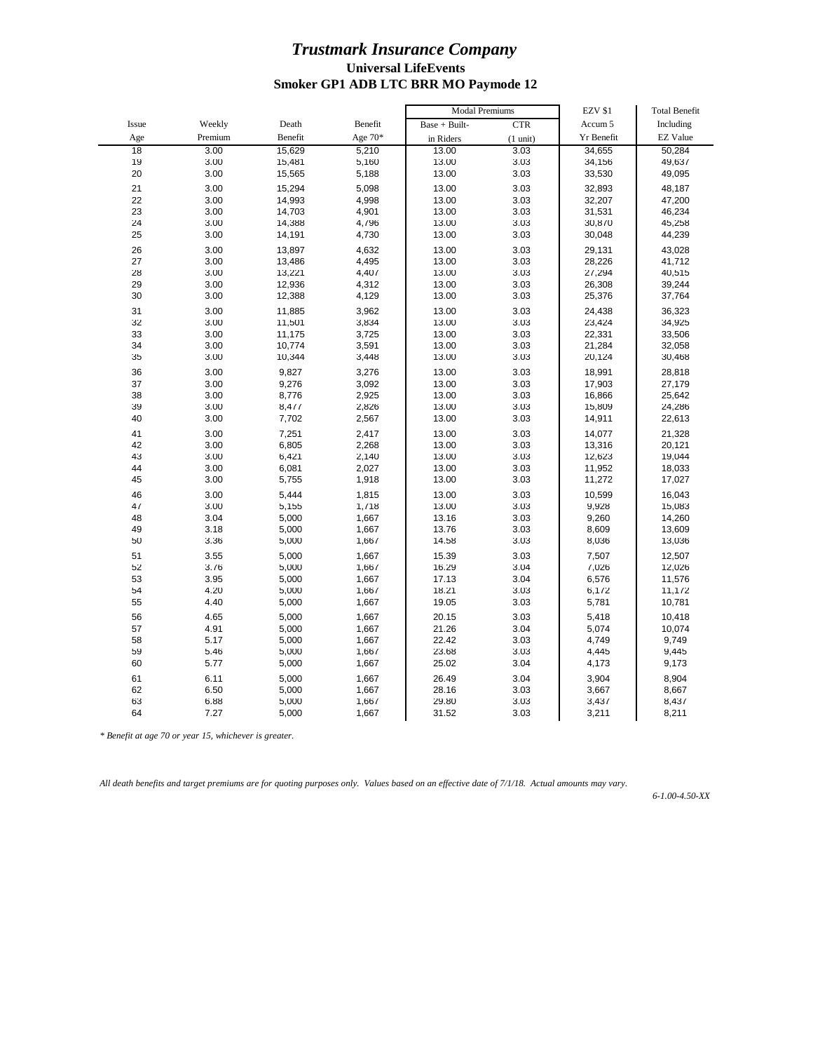|       |         |         |           | <b>Modal Premiums</b> |                    | <b>EZV \$1</b> | <b>Total Benefit</b> |
|-------|---------|---------|-----------|-----------------------|--------------------|----------------|----------------------|
| Issue | Weekly  | Death   | Benefit   | Base + Built-         | <b>CTR</b>         | Accum 5        | Including            |
| Age   | Premium | Benefit | Age $70*$ | in Riders             | $(1 \text{ unit})$ | Yr Benefit     | <b>EZ Value</b>      |
| 18    | 3.00    | 15,629  | 5,210     | 13.00                 | 3.03               | 34,655         | 50,284               |
| 19    | 3.00    | 15,481  | 5,160     | 13.00                 | 3.03               | 34,156         | 49,637               |
| 20    | 3.00    | 15,565  | 5,188     | 13.00                 | 3.03               | 33,530         | 49,095               |
| 21    | 3.00    | 15,294  | 5,098     | 13.00                 | 3.03               | 32,893         | 48,187               |
| 22    | 3.00    | 14,993  | 4,998     | 13.00                 | 3.03               | 32,207         | 47,200               |
| 23    | 3.00    | 14,703  | 4,901     | 13.00                 | 3.03               | 31,531         | 46,234               |
| 24    | 3.00    | 14,388  | 4,796     | 13.00                 | 3.03               | 30,870         | 45,258               |
| 25    | 3.00    | 14,191  | 4,730     | 13.00                 | 3.03               | 30,048         | 44,239               |
| 26    | 3.00    | 13,897  | 4,632     | 13.00                 | 3.03               | 29,131         | 43,028               |
| 27    | 3.00    | 13,486  | 4,495     | 13.00                 | 3.03               | 28,226         | 41,712               |
| 28    | 3.00    | 13,221  | 4,407     | 13.00                 | 3.03               | 27,294         | 40,515               |
| 29    | 3.00    | 12,936  | 4,312     | 13.00                 | 3.03               | 26,308         | 39,244               |
| 30    | 3.00    | 12,388  | 4,129     | 13.00                 | 3.03               | 25,376         | 37,764               |
| 31    | 3.00    | 11,885  | 3,962     | 13.00                 | 3.03               | 24,438         | 36,323               |
| 32    | 3.00    | 11,501  | 3,834     | 13.00                 | 3.03               | 23,424         | 34,925               |
| 33    | 3.00    | 11,175  | 3,725     | 13.00                 | 3.03               | 22,331         | 33,506               |
| 34    | 3.00    | 10,774  | 3,591     | 13.00                 | 3.03               | 21,284         | 32,058               |
| 35    | 3.00    | 10,344  | 3,448     | 13.00                 | 3.03               | 20,124         | 30,468               |
| 36    | 3.00    | 9,827   | 3,276     | 13.00                 | 3.03               | 18,991         | 28,818               |
| 37    | 3.00    | 9,276   | 3,092     | 13.00                 | 3.03               | 17,903         | 27,179               |
| 38    | 3.00    | 8,776   | 2,925     | 13.00                 | 3.03               | 16,866         | 25,642               |
| 39    | 3.00    | 8,477   | 2,826     | 13.00                 | 3.03               | 15,809         | 24,286               |
| 40    | 3.00    | 7,702   | 2,567     | 13.00                 | 3.03               | 14,911         | 22,613               |
| 41    | 3.00    | 7,251   | 2,417     | 13.00                 | 3.03               | 14,077         | 21,328               |
| 42    | 3.00    | 6,805   | 2,268     | 13.00                 | 3.03               | 13,316         | 20,121               |
| 43    | 3.00    | 6,421   | 2,140     | 13.00                 | 3.03               | 12,623         | 19,044               |
| 44    | 3.00    | 6,081   | 2,027     | 13.00                 | 3.03               | 11,952         | 18,033               |
| 45    | 3.00    | 5,755   | 1,918     | 13.00                 | 3.03               | 11,272         | 17,027               |
| 46    | 3.00    | 5,444   | 1,815     | 13.00                 | 3.03               | 10,599         | 16,043               |
| 47    | 3.00    | 5,155   | 1,718     | 13.00                 | 3.03               | 9,928          | 15,083               |
| 48    | 3.04    | 5,000   | 1,667     | 13.16                 | 3.03               | 9,260          | 14,260               |
| 49    | 3.18    | 5,000   | 1,667     | 13.76                 | 3.03               | 8,609          | 13,609               |
| 50    | 3.36    | 5,000   | 1,667     | 14.58                 | 3.03               | 8,036          | 13,036               |
| 51    | 3.55    | 5,000   | 1,667     | 15.39                 | 3.03               | 7,507          | 12,507               |
| 52    | 3.76    | 5,000   | 1,667     | 16.29                 | 3.04               | 7,026          | 12,026               |
| 53    | 3.95    | 5,000   | 1,667     | 17.13                 | 3.04               | 6,576          | 11,576               |
| 54    | 4.20    | 5,000   | 1,667     | 18.21                 | 3.03               | 6,172          | 11,172               |
| 55    | 4.40    | 5,000   | 1,667     | 19.05                 | 3.03               | 5,781          | 10,781               |
| 56    | 4.65    | 5,000   | 1,667     | 20.15                 | 3.03               | 5,418          | 10,418               |
| 57    | 4.91    | 5,000   | 1,667     | 21.26                 | 3.04               | 5,074          | 10,074               |
| 58    | 5.17    | 5,000   | 1,667     | 22.42                 | 3.03               | 4,749          | 9,749                |
| 59    | 5.46    | 5,000   | 1,667     | 23.68                 | 3.03               | 4,445          | 9,445                |
| 60    | 5.77    | 5,000   | 1,667     | 25.02                 | 3.04               | 4,173          | 9,173                |
| 61    | 6.11    | 5,000   | 1,667     | 26.49                 | 3.04               | 3,904          | 8,904                |
| 62    | 6.50    | 5,000   | 1,667     | 28.16                 | 3.03               | 3,667          | 8,667                |
| 63    | 6.88    | 5,000   | 1,667     | 29.80                 | 3.03               | 3,437          | 8,437                |
| 64    | 7.27    | 5,000   | 1,667     | 31.52                 | 3.03               | 3,211          | 8,211                |
|       |         |         |           |                       |                    |                |                      |

*\* Benefit at age 70 or year 15, whichever is greater.*

*All death benefits and target premiums are for quoting purposes only. Values based on an effective date of 7/1/18. Actual amounts may vary.*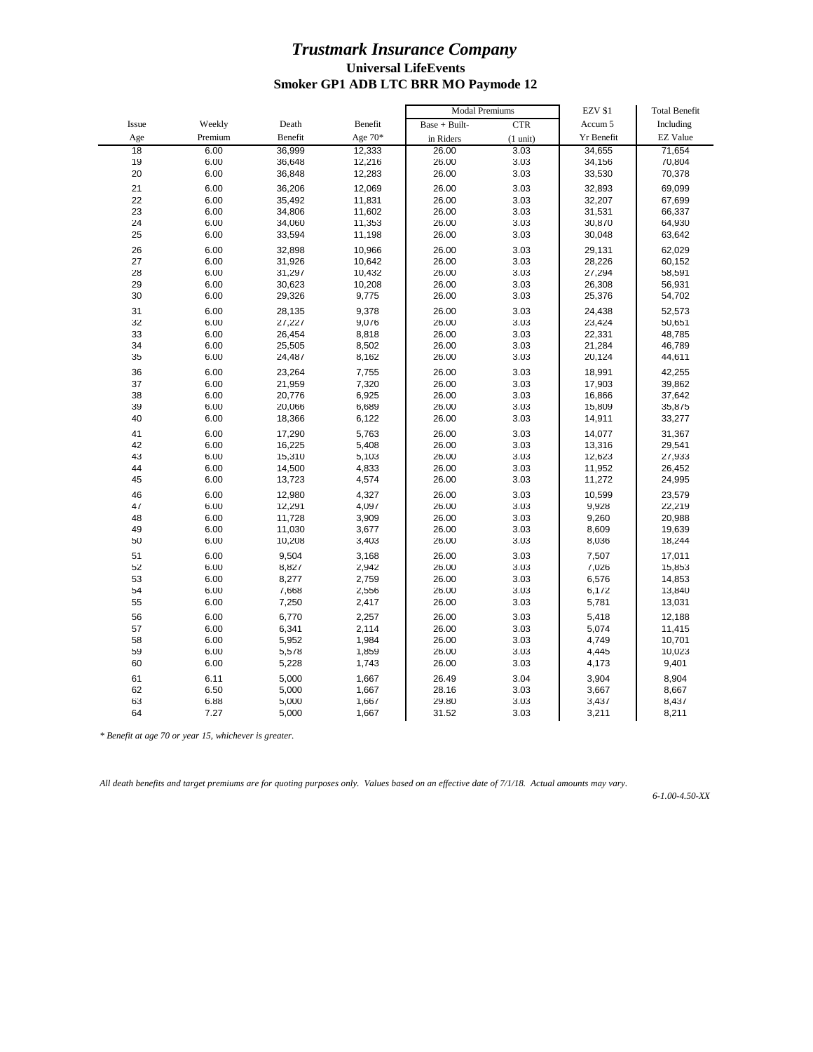|       |         |         |           | <b>Modal Premiums</b> |                    | <b>EZV \$1</b> | <b>Total Benefit</b> |
|-------|---------|---------|-----------|-----------------------|--------------------|----------------|----------------------|
| Issue | Weekly  | Death   | Benefit   | Base + Built-         | <b>CTR</b>         | Accum 5        | Including            |
| Age   | Premium | Benefit | Age $70*$ | in Riders             | $(1 \text{ unit})$ | Yr Benefit     | <b>EZ Value</b>      |
| 18    | 6.00    | 36,999  | 12,333    | 26.00                 | 3.03               | 34,655         | 71,654               |
| 19    | 6.00    | 36,648  | 12,216    | 26.00                 | 3.03               | 34,156         | 70,804               |
| 20    | 6.00    | 36,848  | 12,283    | 26.00                 | 3.03               | 33,530         | 70,378               |
| 21    | 6.00    | 36,206  | 12,069    | 26.00                 | 3.03               | 32,893         | 69,099               |
| 22    | 6.00    | 35,492  | 11,831    | 26.00                 | 3.03               | 32,207         | 67,699               |
| 23    | 6.00    | 34,806  | 11,602    | 26.00                 | 3.03               | 31,531         | 66,337               |
| 24    | 6.00    | 34,060  | 11,353    | 26.00                 | 3.03               | 30,870         | 64,930               |
| 25    | 6.00    | 33,594  | 11,198    | 26.00                 | 3.03               | 30,048         | 63,642               |
| 26    | 6.00    | 32,898  | 10,966    | 26.00                 | 3.03               | 29,131         | 62,029               |
| 27    | 6.00    | 31,926  | 10,642    | 26.00                 | 3.03               | 28,226         | 60,152               |
| 28    | 6.00    | 31,297  | 10,432    | 26.00                 | 3.03               | 27,294         | 58,591               |
| 29    | 6.00    | 30,623  | 10,208    | 26.00                 | 3.03               | 26,308         | 56,931               |
| 30    | 6.00    | 29,326  | 9,775     | 26.00                 | 3.03               | 25,376         | 54,702               |
| 31    | 6.00    | 28,135  | 9,378     | 26.00                 | 3.03               | 24,438         | 52,573               |
| 32    | 6.00    | 27,227  | 9,076     | 26.00                 | 3.03               | 23,424         | 50,651               |
| 33    | 6.00    | 26,454  | 8,818     | 26.00                 | 3.03               | 22,331         | 48,785               |
| 34    | 6.00    | 25,505  | 8,502     | 26.00                 | 3.03               | 21,284         | 46,789               |
| 35    | 6.00    | 24,487  | 8,162     | 26.00                 | 3.03               | 20,124         | 44,611               |
| 36    | 6.00    | 23,264  | 7,755     | 26.00                 | 3.03               | 18,991         | 42,255               |
| 37    | 6.00    | 21,959  | 7,320     | 26.00                 | 3.03               | 17,903         | 39,862               |
| 38    | 6.00    | 20,776  | 6,925     | 26.00                 | 3.03               | 16,866         | 37,642               |
| 39    | 6.00    | 20,066  | 6,689     | 26.00                 | 3.03               | 15,809         | 35,875               |
| 40    | 6.00    | 18,366  | 6,122     | 26.00                 | 3.03               | 14,911         | 33,277               |
| 41    | 6.00    | 17,290  | 5,763     | 26.00                 | 3.03               | 14,077         | 31,367               |
| 42    | 6.00    | 16,225  | 5,408     | 26.00                 | 3.03               | 13,316         | 29,541               |
| 43    | 6.00    | 15,310  | 5,103     | 26.00                 | 3.03               | 12,623         | 27,933               |
| 44    | 6.00    | 14,500  | 4,833     | 26.00                 | 3.03               | 11,952         | 26,452               |
| 45    | 6.00    | 13,723  | 4,574     | 26.00                 | 3.03               | 11,272         | 24,995               |
| 46    | 6.00    | 12,980  | 4,327     | 26.00                 | 3.03               | 10,599         | 23,579               |
| 47    | 6.00    | 12,291  | 4,097     | 26.00                 | 3.03               | 9,928          | 22,219               |
| 48    | 6.00    | 11,728  | 3,909     | 26.00                 | 3.03               | 9,260          | 20,988               |
| 49    | 6.00    | 11,030  | 3,677     | 26.00                 | 3.03               | 8,609          | 19,639               |
| 50    | 6.00    | 10,208  | 3,403     | 26.00                 | 3.03               | 8,036          | 18,244               |
| 51    | 6.00    | 9,504   | 3,168     | 26.00                 | 3.03               | 7,507          | 17,011               |
| 52    | 6.00    | 8,827   | 2,942     | 26.00                 | 3.03               | 7,026          | 15,853               |
| 53    | 6.00    | 8,277   | 2,759     | 26.00                 | 3.03               | 6,576          | 14,853               |
| 54    | 6.00    | 7,668   | 2,556     | 26.00                 | 3.03               | 6,172          | 13,840               |
| 55    | 6.00    | 7,250   | 2,417     | 26.00                 | 3.03               | 5,781          | 13,031               |
| 56    | 6.00    | 6,770   | 2,257     | 26.00                 | 3.03               | 5,418          | 12,188               |
| 57    | 6.00    | 6,341   | 2,114     | 26.00                 | 3.03               | 5,074          | 11,415               |
| 58    | 6.00    | 5,952   | 1,984     | 26.00                 | 3.03               | 4,749          | 10,701               |
| 59    | 6.00    | 5,578   | 1,859     | 26.00                 | 3.03               | 4,445          | 10,023               |
| 60    | 6.00    | 5,228   | 1,743     | 26.00                 | 3.03               | 4,173          | 9,401                |
| 61    | 6.11    | 5,000   | 1,667     | 26.49                 | 3.04               | 3,904          | 8,904                |
| 62    | 6.50    | 5,000   | 1,667     | 28.16                 | 3.03               | 3,667          | 8,667                |
| 63    | 6.88    | 5,000   | 1,667     | 29.80                 | 3.03               | 3,437          | 8,437                |
| 64    | 7.27    | 5,000   | 1,667     | 31.52                 | 3.03               | 3,211          | 8,211                |
|       |         |         |           |                       |                    |                |                      |

*\* Benefit at age 70 or year 15, whichever is greater.*

*All death benefits and target premiums are for quoting purposes only. Values based on an effective date of 7/1/18. Actual amounts may vary.*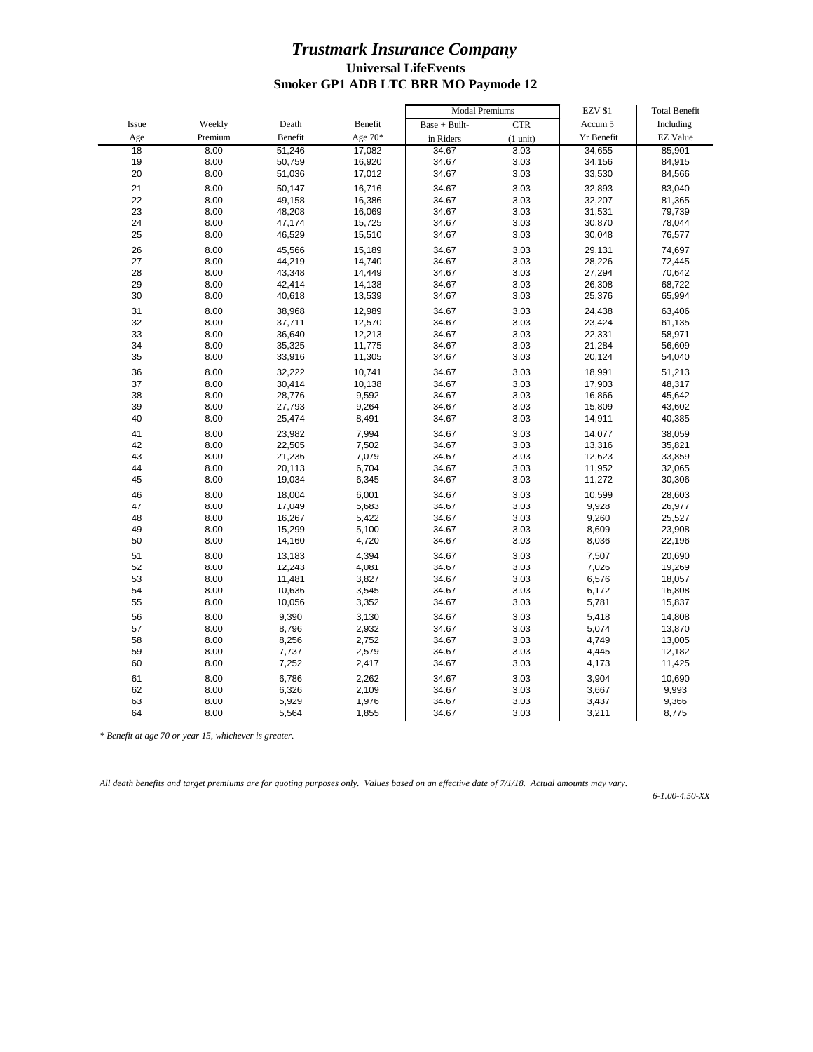|       |         |         |           | <b>Modal Premiums</b> |                    | <b>EZV \$1</b> | <b>Total Benefit</b> |
|-------|---------|---------|-----------|-----------------------|--------------------|----------------|----------------------|
| Issue | Weekly  | Death   | Benefit   | Base + Built-         | <b>CTR</b>         | Accum 5        | Including            |
| Age   | Premium | Benefit | Age $70*$ | in Riders             | $(1 \text{ unit})$ | Yr Benefit     | <b>EZ Value</b>      |
| 18    | 8.00    | 51,246  | 17,082    | 34.67                 | 3.03               | 34,655         | 85,901               |
| 19    | 8.00    | 50,759  | 16,920    | 34.67                 | 3.03               | 34,156         | 84,915               |
| 20    | 8.00    | 51,036  | 17,012    | 34.67                 | 3.03               | 33,530         | 84,566               |
| 21    | 8.00    | 50.147  | 16,716    | 34.67                 | 3.03               | 32,893         | 83.040               |
| 22    | 8.00    | 49,158  | 16,386    | 34.67                 | 3.03               | 32,207         | 81,365               |
| 23    | 8.00    | 48,208  | 16,069    | 34.67                 | 3.03               | 31,531         | 79,739               |
| 24    | 8.00    | 47,174  | 15,725    | 34.67                 | 3.03               | 30,870         | 78,044               |
| 25    | 8.00    | 46,529  | 15,510    | 34.67                 | 3.03               | 30,048         | 76,577               |
| 26    | 8.00    | 45,566  | 15,189    | 34.67                 | 3.03               | 29,131         | 74,697               |
| 27    | 8.00    | 44,219  | 14,740    | 34.67                 | 3.03               | 28,226         | 72,445               |
| 28    | 8.00    | 43,348  | 14,449    | 34.67                 | 3.03               | 27,294         | 70,642               |
| 29    | 8.00    | 42,414  | 14,138    | 34.67                 | 3.03               | 26,308         | 68,722               |
| 30    | 8.00    | 40,618  | 13,539    | 34.67                 | 3.03               | 25,376         | 65,994               |
| 31    | 8.00    | 38,968  | 12,989    | 34.67                 | 3.03               | 24,438         | 63,406               |
| 32    | 8.00    | 37,711  | 12,570    | 34.67                 | 3.03               | 23,424         | 61,135               |
| 33    | 8.00    | 36,640  | 12,213    | 34.67                 | 3.03               | 22,331         | 58,971               |
| 34    | 8.00    | 35,325  | 11,775    | 34.67                 | 3.03               | 21,284         | 56,609               |
| 35    | 8.00    | 33,916  | 11,305    | 34.67                 | 3.03               | 20,124         | 54,040               |
| 36    | 8.00    | 32,222  | 10,741    | 34.67                 | 3.03               | 18,991         | 51,213               |
| 37    | 8.00    | 30,414  | 10,138    | 34.67                 | 3.03               | 17,903         | 48,317               |
| 38    | 8.00    | 28,776  | 9,592     | 34.67                 | 3.03               | 16,866         | 45,642               |
| 39    | 8.00    | 27,793  | 9,264     | 34.67                 | 3.03               | 15,809         | 43,602               |
| 40    | 8.00    | 25,474  | 8,491     | 34.67                 | 3.03               | 14,911         | 40,385               |
| 41    | 8.00    | 23,982  | 7,994     | 34.67                 | 3.03               | 14,077         | 38,059               |
| 42    | 8.00    | 22,505  | 7,502     | 34.67                 | 3.03               | 13,316         | 35,821               |
| 43    | 8.00    | 21,236  | 7,079     | 34.67                 | 3.03               | 12,623         | 33,859               |
| 44    | 8.00    | 20,113  | 6,704     | 34.67                 | 3.03               | 11,952         | 32,065               |
| 45    | 8.00    | 19,034  | 6,345     | 34.67                 | 3.03               | 11,272         | 30,306               |
| 46    | 8.00    | 18,004  | 6,001     | 34.67                 | 3.03               | 10,599         | 28,603               |
| 47    | 8.00    | 17,049  | 5,683     | 34.67                 | 3.03               | 9,928          | 26,977               |
| 48    | 8.00    | 16,267  | 5,422     | 34.67                 | 3.03               | 9,260          | 25,527               |
| 49    | 8.00    | 15,299  | 5,100     | 34.67                 | 3.03               | 8,609          | 23,908               |
| 50    | 8.00    | 14,160  | 4,720     | 34.67                 | 3.03               | 8,036          | 22,196               |
| 51    | 8.00    | 13,183  | 4,394     | 34.67                 | 3.03               | 7,507          | 20,690               |
| 52    | 8.00    | 12,243  | 4,081     | 34.67                 | 3.03               | 7,026          | 19,269               |
| 53    | 8.00    | 11,481  | 3,827     | 34.67                 | 3.03               | 6,576          | 18,057               |
| 54    | 8.00    | 10,636  | 3,545     | 34.67                 | 3.03               | 6,172          | 16,808               |
| 55    | 8.00    | 10,056  | 3,352     | 34.67                 | 3.03               | 5,781          | 15,837               |
| 56    | 8.00    | 9,390   | 3,130     | 34.67                 | 3.03               | 5,418          | 14,808               |
| 57    | 8.00    | 8,796   | 2,932     | 34.67                 | 3.03               | 5,074          | 13,870               |
| 58    | 8.00    | 8,256   | 2,752     | 34.67                 | 3.03               | 4,749          | 13,005               |
| 59    | 8.00    | 7,737   | 2,579     | 34.67                 | 3.03               | 4,445          | 12,182               |
| 60    | 8.00    | 7,252   | 2,417     | 34.67                 | 3.03               | 4,173          | 11,425               |
| 61    | 8.00    | 6,786   | 2,262     | 34.67                 | 3.03               | 3,904          | 10,690               |
| 62    | 8.00    | 6,326   | 2,109     | 34.67                 | 3.03               | 3,667          | 9,993                |
| 63    | 8.00    | 5,929   | 1,976     | 34.67                 | 3.03               | 3,437          | 9,366                |
| 64    | 8.00    | 5,564   | 1,855     | 34.67                 | 3.03               | 3,211          | 8,775                |
|       |         |         |           |                       |                    |                |                      |

*\* Benefit at age 70 or year 15, whichever is greater.*

*All death benefits and target premiums are for quoting purposes only. Values based on an effective date of 7/1/18. Actual amounts may vary.*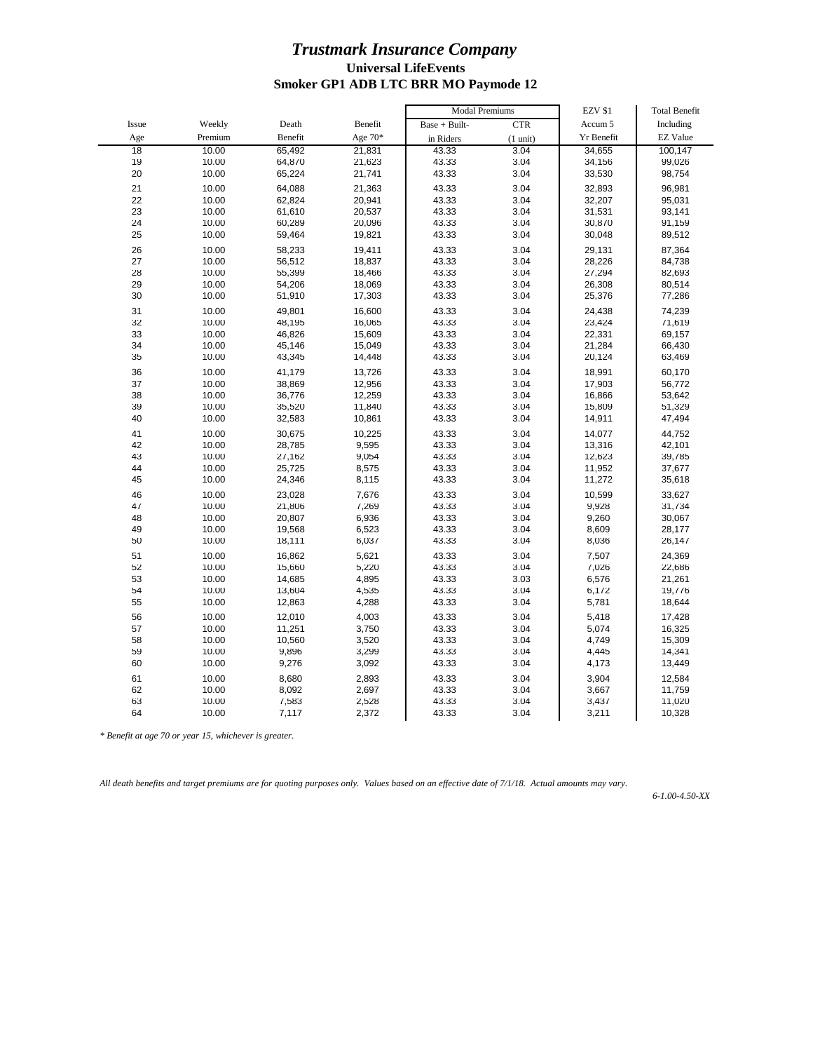|       |         |         |           | <b>Modal Premiums</b> |                    | <b>EZV \$1</b> | <b>Total Benefit</b> |
|-------|---------|---------|-----------|-----------------------|--------------------|----------------|----------------------|
| Issue | Weekly  | Death   | Benefit   | Base + Built-         | <b>CTR</b>         | Accum 5        | Including            |
| Age   | Premium | Benefit | Age $70*$ | in Riders             | $(1 \text{ unit})$ | Yr Benefit     | <b>EZ Value</b>      |
| 18    | 10.00   | 65,492  | 21,831    | 43.33                 | 3.04               | 34,655         | 100,147              |
| 19    | 10.00   | 64,870  | 21,623    | 43.33                 | 3.04               | 34,156         | 99,026               |
| 20    | 10.00   | 65,224  | 21,741    | 43.33                 | 3.04               | 33,530         | 98,754               |
| 21    | 10.00   | 64,088  | 21,363    | 43.33                 | 3.04               | 32,893         | 96,981               |
| 22    | 10.00   | 62,824  | 20,941    | 43.33                 | 3.04               | 32,207         | 95,031               |
| 23    | 10.00   | 61,610  | 20,537    | 43.33                 | 3.04               | 31,531         | 93,141               |
| 24    | 10.00   | 60,289  | 20,096    | 43.33                 | 3.04               | 30,870         | 91,159               |
| 25    | 10.00   | 59,464  | 19,821    | 43.33                 | 3.04               | 30,048         | 89,512               |
| 26    | 10.00   | 58,233  | 19,411    | 43.33                 | 3.04               | 29,131         | 87,364               |
| 27    | 10.00   | 56,512  | 18,837    | 43.33                 | 3.04               | 28,226         | 84,738               |
| 28    | 10.00   | 55,399  | 18,466    | 43.33                 | 3.04               | 27,294         | 82,693               |
| 29    | 10.00   | 54,206  | 18,069    | 43.33                 | 3.04               | 26,308         | 80,514               |
| 30    | 10.00   | 51,910  | 17,303    | 43.33                 | 3.04               | 25,376         | 77,286               |
| 31    | 10.00   | 49,801  | 16,600    | 43.33                 | 3.04               | 24,438         | 74,239               |
| 32    | 10.00   | 48,195  | 16,065    | 43.33                 | 3.04               | 23,424         | 71,619               |
| 33    | 10.00   | 46,826  | 15,609    | 43.33                 | 3.04               | 22,331         | 69,157               |
| 34    | 10.00   | 45,146  | 15,049    | 43.33                 | 3.04               | 21,284         | 66,430               |
| 35    | 10.00   | 43,345  | 14,448    | 43.33                 | 3.04               | 20,124         | 63,469               |
| 36    | 10.00   | 41,179  | 13,726    | 43.33                 | 3.04               | 18,991         | 60,170               |
| 37    | 10.00   | 38,869  | 12,956    | 43.33                 | 3.04               | 17,903         | 56,772               |
| 38    | 10.00   | 36,776  | 12,259    | 43.33                 | 3.04               | 16,866         | 53,642               |
| 39    | 10.00   | 35,520  | 11,840    | 43.33                 | 3.04               | 15,809         | 51,329               |
| 40    | 10.00   | 32,583  | 10,861    | 43.33                 | 3.04               | 14,911         | 47,494               |
| 41    | 10.00   | 30,675  | 10,225    | 43.33                 | 3.04               | 14,077         | 44,752               |
| 42    | 10.00   | 28,785  | 9,595     | 43.33                 | 3.04               | 13,316         | 42,101               |
| 43    | 10.00   | 27,162  | 9,054     | 43.33                 | 3.04               | 12,623         | 39,785               |
| 44    | 10.00   | 25,725  | 8,575     | 43.33                 | 3.04               | 11,952         | 37,677               |
| 45    | 10.00   | 24,346  | 8,115     | 43.33                 | 3.04               | 11,272         | 35,618               |
| 46    | 10.00   | 23,028  | 7,676     | 43.33                 | 3.04               | 10,599         | 33,627               |
| 47    | 10.00   | 21,806  | 7,269     | 43.33                 | 3.04               | 9,928          | 31,734               |
| 48    | 10.00   | 20,807  | 6,936     | 43.33                 | 3.04               | 9,260          | 30,067               |
| 49    | 10.00   | 19,568  | 6,523     | 43.33                 | 3.04               | 8,609          | 28,177               |
| 50    | 10.00   | 18,111  | 6,037     | 43.33                 | 3.04               | 8,036          | 26,147               |
| 51    | 10.00   | 16,862  | 5,621     | 43.33                 | 3.04               | 7,507          | 24,369               |
| 52    | 10.00   | 15,660  | 5,220     | 43.33                 | 3.04               | 7,026          | 22,686               |
| 53    | 10.00   | 14,685  | 4,895     | 43.33                 | 3.03               | 6,576          | 21,261               |
| 54    | 10.00   | 13,604  | 4,535     | 43.33                 | 3.04               | 6,172          | 19,776               |
| 55    | 10.00   | 12,863  | 4,288     | 43.33                 | 3.04               | 5,781          | 18,644               |
| 56    | 10.00   | 12,010  | 4,003     | 43.33                 | 3.04               | 5,418          | 17,428               |
| 57    | 10.00   | 11,251  | 3,750     | 43.33                 | 3.04               | 5,074          | 16,325               |
| 58    | 10.00   | 10,560  | 3,520     | 43.33                 | 3.04               | 4,749          | 15,309               |
| 59    | 10.00   | 9,896   | 3,299     | 43.33                 | 3.04               | 4,445          | 14,341               |
| 60    | 10.00   | 9,276   | 3,092     | 43.33                 | 3.04               | 4,173          | 13,449               |
| 61    | 10.00   | 8,680   | 2,893     | 43.33                 | 3.04               | 3,904          | 12,584               |
| 62    | 10.00   | 8,092   | 2,697     | 43.33                 | 3.04               | 3,667          | 11,759               |
| 63    | 10.00   | 7,583   | 2,528     | 43.33                 | 3.04               | 3,437          | 11,020               |
| 64    | 10.00   | 7,117   | 2,372     | 43.33                 | 3.04               | 3,211          | 10,328               |

*\* Benefit at age 70 or year 15, whichever is greater.*

*All death benefits and target premiums are for quoting purposes only. Values based on an effective date of 7/1/18. Actual amounts may vary.*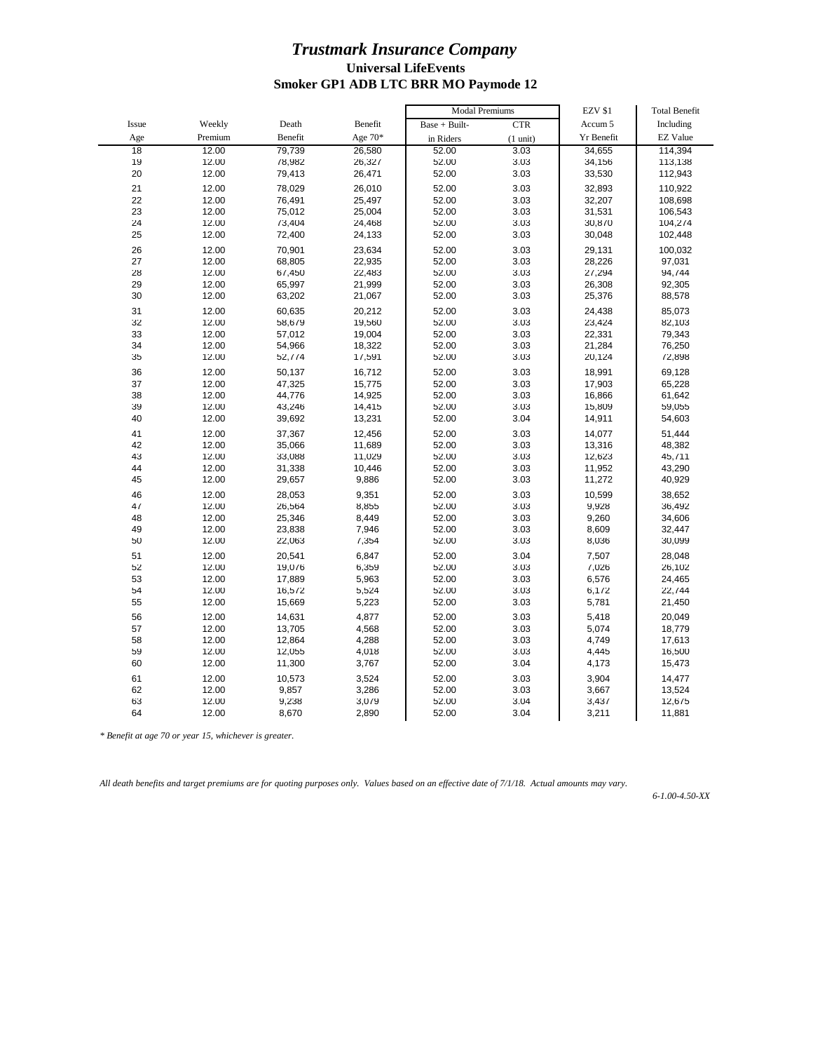|       |         |         |           | <b>Modal Premiums</b> |                    | <b>EZV \$1</b> | <b>Total Benefit</b> |
|-------|---------|---------|-----------|-----------------------|--------------------|----------------|----------------------|
| Issue | Weekly  | Death   | Benefit   | Base + Built-         | <b>CTR</b>         | Accum 5        | Including            |
| Age   | Premium | Benefit | Age $70*$ | in Riders             | $(1 \text{ unit})$ | Yr Benefit     | <b>EZ Value</b>      |
| 18    | 12.00   | 79,739  | 26,580    | 52.00                 | 3.03               | 34,655         | 114,394              |
| 19    | 12.00   | 78,982  | 26,327    | 52.00                 | 3.03               | 34,156         | 113,138              |
| 20    | 12.00   | 79,413  | 26,471    | 52.00                 | 3.03               | 33,530         | 112,943              |
| 21    | 12.00   | 78,029  | 26,010    | 52.00                 | 3.03               | 32,893         | 110,922              |
| 22    | 12.00   | 76,491  | 25,497    | 52.00                 | 3.03               | 32,207         | 108,698              |
| 23    | 12.00   | 75,012  | 25,004    | 52.00                 | 3.03               | 31,531         | 106,543              |
| 24    | 12.00   | 73,404  | 24,468    | 52.00                 | 3.03               | 30,870         | 104,274              |
| 25    | 12.00   | 72,400  | 24,133    | 52.00                 | 3.03               | 30,048         | 102,448              |
| 26    | 12.00   | 70,901  | 23,634    | 52.00                 | 3.03               | 29,131         | 100,032              |
| 27    | 12.00   | 68,805  | 22,935    | 52.00                 | 3.03               | 28,226         | 97,031               |
| 28    | 12.00   | 67,450  | 22,483    | 52.00                 | 3.03               | 27,294         | 94,744               |
| 29    | 12.00   | 65,997  | 21,999    | 52.00                 | 3.03               | 26,308         | 92,305               |
| 30    | 12.00   | 63,202  | 21,067    | 52.00                 | 3.03               | 25,376         | 88,578               |
| 31    | 12.00   | 60,635  | 20,212    | 52.00                 | 3.03               | 24,438         | 85,073               |
| 32    | 12.00   | 58,679  | 19,560    | 52.00                 | 3.03               | 23,424         | 82,103               |
| 33    | 12.00   | 57,012  | 19,004    | 52.00                 | 3.03               | 22,331         | 79,343               |
| 34    | 12.00   | 54,966  | 18,322    | 52.00                 | 3.03               | 21,284         | 76,250               |
| 35    | 12.00   | 52,774  | 17,591    | 52.00                 | 3.03               | 20,124         | 72,898               |
| 36    | 12.00   | 50,137  | 16,712    | 52.00                 | 3.03               | 18,991         | 69,128               |
| 37    | 12.00   | 47,325  | 15,775    | 52.00                 | 3.03               | 17,903         | 65,228               |
| 38    | 12.00   | 44,776  | 14,925    | 52.00                 | 3.03               | 16,866         | 61,642               |
| 39    | 12.00   | 43,246  | 14,415    | 52.00                 | 3.03               | 15,809         | 59,055               |
| 40    | 12.00   | 39,692  | 13,231    | 52.00                 | 3.04               | 14,911         | 54,603               |
| 41    | 12.00   | 37,367  | 12,456    | 52.00                 | 3.03               | 14,077         | 51,444               |
| 42    | 12.00   | 35,066  | 11,689    | 52.00                 | 3.03               | 13,316         | 48,382               |
| 43    | 12.00   | 33,088  | 11,029    | 52.00                 | 3.03               | 12,623         | 45,711               |
| 44    | 12.00   | 31,338  | 10,446    | 52.00                 | 3.03               | 11,952         | 43,290               |
| 45    | 12.00   | 29,657  | 9,886     | 52.00                 | 3.03               | 11,272         | 40,929               |
| 46    | 12.00   | 28,053  | 9,351     | 52.00                 | 3.03               | 10,599         | 38,652               |
| 47    | 12.00   | 26,564  | 8,855     | 52.00                 | 3.03               | 9,928          | 36,492               |
| 48    | 12.00   | 25,346  | 8,449     | 52.00                 | 3.03               | 9,260          | 34,606               |
| 49    | 12.00   | 23,838  | 7,946     | 52.00                 | 3.03               | 8,609          | 32,447               |
| 50    | 12.00   | 22,063  | 7,354     | 52.00                 | 3.03               | 8,036          | 30,099               |
| 51    | 12.00   | 20,541  | 6,847     | 52.00                 | 3.04               | 7,507          | 28,048               |
| 52    | 12.00   | 19,076  | 6,359     | 52.00                 | 3.03               | 7,026          | 26,102               |
| 53    | 12.00   | 17,889  | 5,963     | 52.00                 | 3.03               | 6,576          | 24,465               |
| 54    | 12.00   | 16,572  | 5,524     | 52.00                 | 3.03               | 6,172          | 22,744               |
| 55    | 12.00   | 15,669  | 5,223     | 52.00                 | 3.03               | 5,781          | 21,450               |
| 56    | 12.00   | 14,631  | 4,877     | 52.00                 | 3.03               | 5,418          | 20,049               |
| 57    | 12.00   | 13,705  | 4,568     | 52.00                 | 3.03               | 5,074          | 18,779               |
| 58    | 12.00   | 12,864  | 4,288     | 52.00                 | 3.03               | 4,749          | 17,613               |
| 59    | 12.00   | 12,055  | 4,018     | 52.00                 | 3.03               | 4,445          | 16,500               |
| 60    | 12.00   | 11,300  | 3,767     | 52.00                 | 3.04               | 4,173          | 15,473               |
| 61    | 12.00   | 10,573  | 3,524     | 52.00                 | 3.03               | 3,904          | 14,477               |
| 62    | 12.00   | 9,857   | 3,286     | 52.00                 | 3.03               | 3,667          | 13,524               |
| 63    | 12.00   | 9,238   | 3,079     | 52.00                 | 3.04               | 3,437          | 12,675               |
| 64    | 12.00   | 8,670   | 2,890     | 52.00                 | 3.04               | 3,211          | 11,881               |
|       |         |         |           |                       |                    |                |                      |

*\* Benefit at age 70 or year 15, whichever is greater.*

*All death benefits and target premiums are for quoting purposes only. Values based on an effective date of 7/1/18. Actual amounts may vary.*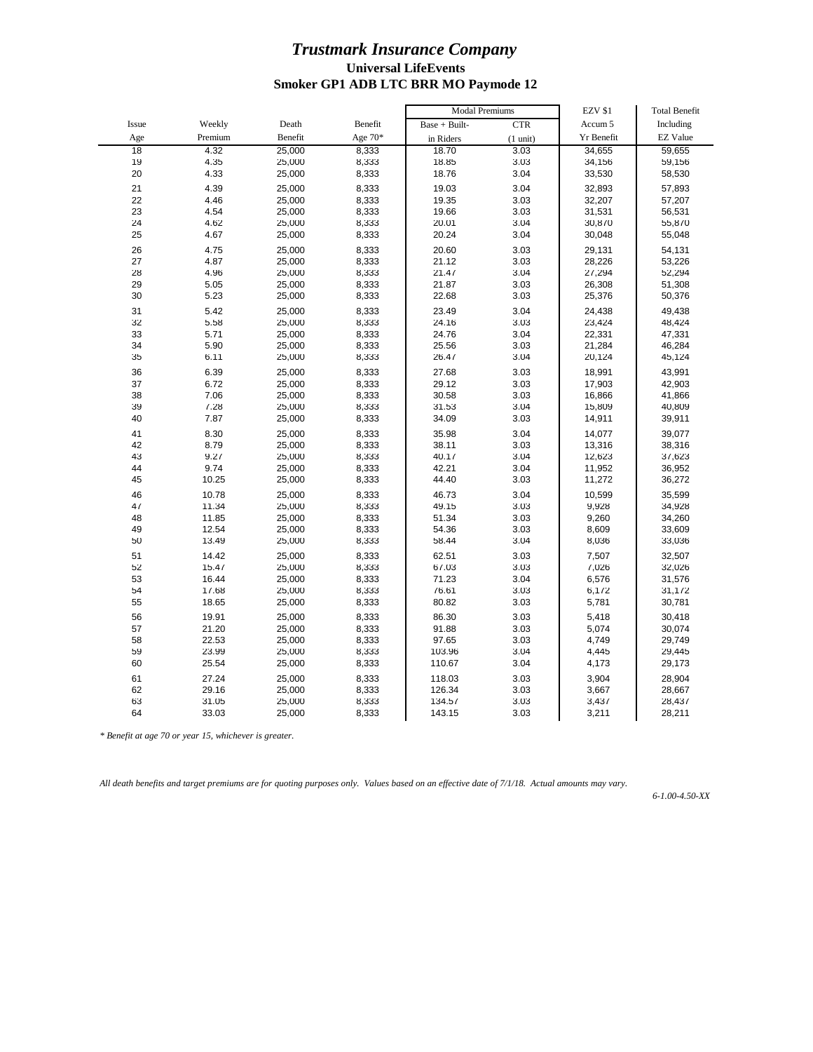| Weekly<br>Issue<br>Death<br>Benefit<br>Accum 5<br>Including<br>Base + Built-<br><b>CTR</b><br>Premium<br>Benefit<br>Age 70*<br>Yr Benefit<br><b>EZ Value</b><br>Age<br>in Riders<br>$(1 \text{ unit})$<br>4.32<br>18<br>25,000<br>8,333<br>18.70<br>3.03<br>34,655<br>59,655<br>8,333<br>3.03<br>19<br>4.35<br>25,000<br>18.85<br>34,156<br>59,156<br>20<br>4.33<br>25,000<br>8,333<br>18.76<br>3.04<br>33,530<br>58,530<br>21<br>4.39<br>25,000<br>8,333<br>19.03<br>3.04<br>32,893<br>57,893<br>22<br>4.46<br>25,000<br>8,333<br>19.35<br>3.03<br>32,207<br>57,207<br>23<br>4.54<br>8,333<br>3.03<br>25,000<br>19.66<br>31,531<br>56,531<br>24<br>4.62<br>8,333<br>20.01<br>3.04<br>30,870<br>55,870<br>25,000<br>25<br>4.67<br>8,333<br>20.24<br>3.04<br>25,000<br>30,048<br>55,048<br>26<br>4.75<br>25,000<br>8,333<br>20.60<br>3.03<br>29,131<br>54,131<br>27<br>4.87<br>25,000<br>8,333<br>21.12<br>3.03<br>28,226<br>53,226<br>28<br>4.96<br>25,000<br>8,333<br>21.47<br>3.04<br>27,294<br>52,294<br>29<br>5.05<br>25,000<br>8,333<br>21.87<br>3.03<br>26,308<br>51,308<br>30<br>5.23<br>25,000<br>8,333<br>22.68<br>3.03<br>25,376<br>50,376<br>31<br>5.42<br>8,333<br>23.49<br>3.04<br>25,000<br>24,438<br>49,438<br>32<br>5.58<br>25,000<br>8,333<br>24.16<br>3.03<br>23,424<br>48,424<br>33<br>5.71<br>25,000<br>8,333<br>24.76<br>3.04<br>22,331<br>47,331<br>34<br>5.90<br>25,000<br>8,333<br>25.56<br>3.03<br>21,284<br>46,284<br>35<br>6.11<br>25,000<br>8,333<br>26.47<br>3.04<br>20,124<br>45,124<br>36<br>6.39<br>25,000<br>8,333<br>27.68<br>3.03<br>43,991<br>18,991<br>37<br>6.72<br>25,000<br>8,333<br>29.12<br>3.03<br>17,903<br>42,903<br>38<br>7.06<br>25,000<br>8,333<br>30.58<br>3.03<br>16,866<br>41,866<br>39<br>7.28<br>25,000<br>8,333<br>31.53<br>3.04<br>15,809<br>40,809<br>7.87<br>8,333<br>34.09<br>40<br>25,000<br>3.03<br>14,911<br>39,911<br>41<br>8.30<br>25,000<br>8,333<br>35.98<br>3.04<br>39,077<br>14,077<br>42<br>8,333<br>8.79<br>25,000<br>38.11<br>3.03<br>13,316<br>38,316<br>43<br>8,333<br>40.17<br>9.27<br>25,000<br>3.04<br>12,623<br>37,623<br>44<br>9.74<br>8,333<br>42.21<br>3.04<br>25,000<br>11,952<br>36,952<br>45<br>44.40<br>10.25<br>25,000<br>8,333<br>3.03<br>11,272<br>36,272<br>46<br>46.73<br>3.04<br>35,599<br>10.78<br>25,000<br>8,333<br>10,599<br>47<br>11.34<br>25,000<br>8,333<br>49.15<br>3.03<br>9,928<br>34,928<br>48<br>11.85<br>8,333<br>51.34<br>3.03<br>25,000<br>9,260<br>34,260<br>49<br>12.54<br>8,333<br>54.36<br>3.03<br>25,000<br>8,609<br>33,609<br>50<br>58.44<br>3.04<br>13.49<br>25,000<br>8,333<br>8,036<br>33,036<br>51<br>25,000<br>8,333<br>14.42<br>62.51<br>3.03<br>7,507<br>32,507<br>52<br>8,333<br>67.03<br>3.03<br>7,026<br>15.47<br>25,000<br>32,026<br>53<br>16.44<br>25,000<br>8,333<br>71.23<br>3.04<br>6,576<br>31,576<br>54<br>8,333<br>76.61<br>17.68<br>25,000<br>3.03<br>6,172<br>31,172<br>55<br>18.65<br>25,000<br>8,333<br>80.82<br>3.03<br>5,781<br>30,781<br>56<br>19.91<br>8,333<br>86.30<br>3.03<br>25,000<br>5,418<br>30.418<br>57<br>8,333<br>91.88<br>3.03<br>5,074<br>21.20<br>25,000<br>30,074<br>58<br>22.53<br>25,000<br>8,333<br>97.65<br>3.03<br>4,749<br>29,749<br>59<br>23.99<br>8,333<br>103.96<br>3.04<br>25,000<br>4,445<br>29,445<br>60<br>25.54<br>8,333<br>110.67<br>3.04<br>4,173<br>29,173<br>25,000<br>61<br>27.24<br>25,000<br>8,333<br>118.03<br>3.03<br>3,904<br>28,904<br>62<br>29.16<br>25,000<br>8,333<br>126.34<br>3.03<br>3,667<br>28,667<br>63<br>31.05<br>25,000<br>8,333<br>134.57<br>3.03<br>3,437<br>28,437<br>64<br>33.03<br>25,000<br>8,333<br>143.15<br>3.03<br>3,211<br>28,211 |  |  | <b>Modal Premiums</b> |  | <b>EZV \$1</b> | <b>Total Benefit</b> |
|------------------------------------------------------------------------------------------------------------------------------------------------------------------------------------------------------------------------------------------------------------------------------------------------------------------------------------------------------------------------------------------------------------------------------------------------------------------------------------------------------------------------------------------------------------------------------------------------------------------------------------------------------------------------------------------------------------------------------------------------------------------------------------------------------------------------------------------------------------------------------------------------------------------------------------------------------------------------------------------------------------------------------------------------------------------------------------------------------------------------------------------------------------------------------------------------------------------------------------------------------------------------------------------------------------------------------------------------------------------------------------------------------------------------------------------------------------------------------------------------------------------------------------------------------------------------------------------------------------------------------------------------------------------------------------------------------------------------------------------------------------------------------------------------------------------------------------------------------------------------------------------------------------------------------------------------------------------------------------------------------------------------------------------------------------------------------------------------------------------------------------------------------------------------------------------------------------------------------------------------------------------------------------------------------------------------------------------------------------------------------------------------------------------------------------------------------------------------------------------------------------------------------------------------------------------------------------------------------------------------------------------------------------------------------------------------------------------------------------------------------------------------------------------------------------------------------------------------------------------------------------------------------------------------------------------------------------------------------------------------------------------------------------------------------------------------------------------------------------------------------------------------------------------------------------------------------------------------------------------------------------------------------------------------------------------------------------------------------------------------------------------------------------------------------------------------------------------------------------------------------------------------------------------------------------------------------------------------------------------------------------------|--|--|-----------------------|--|----------------|----------------------|
|                                                                                                                                                                                                                                                                                                                                                                                                                                                                                                                                                                                                                                                                                                                                                                                                                                                                                                                                                                                                                                                                                                                                                                                                                                                                                                                                                                                                                                                                                                                                                                                                                                                                                                                                                                                                                                                                                                                                                                                                                                                                                                                                                                                                                                                                                                                                                                                                                                                                                                                                                                                                                                                                                                                                                                                                                                                                                                                                                                                                                                                                                                                                                                                                                                                                                                                                                                                                                                                                                                                                                                                                                                          |  |  |                       |  |                |                      |
|                                                                                                                                                                                                                                                                                                                                                                                                                                                                                                                                                                                                                                                                                                                                                                                                                                                                                                                                                                                                                                                                                                                                                                                                                                                                                                                                                                                                                                                                                                                                                                                                                                                                                                                                                                                                                                                                                                                                                                                                                                                                                                                                                                                                                                                                                                                                                                                                                                                                                                                                                                                                                                                                                                                                                                                                                                                                                                                                                                                                                                                                                                                                                                                                                                                                                                                                                                                                                                                                                                                                                                                                                                          |  |  |                       |  |                |                      |
|                                                                                                                                                                                                                                                                                                                                                                                                                                                                                                                                                                                                                                                                                                                                                                                                                                                                                                                                                                                                                                                                                                                                                                                                                                                                                                                                                                                                                                                                                                                                                                                                                                                                                                                                                                                                                                                                                                                                                                                                                                                                                                                                                                                                                                                                                                                                                                                                                                                                                                                                                                                                                                                                                                                                                                                                                                                                                                                                                                                                                                                                                                                                                                                                                                                                                                                                                                                                                                                                                                                                                                                                                                          |  |  |                       |  |                |                      |
|                                                                                                                                                                                                                                                                                                                                                                                                                                                                                                                                                                                                                                                                                                                                                                                                                                                                                                                                                                                                                                                                                                                                                                                                                                                                                                                                                                                                                                                                                                                                                                                                                                                                                                                                                                                                                                                                                                                                                                                                                                                                                                                                                                                                                                                                                                                                                                                                                                                                                                                                                                                                                                                                                                                                                                                                                                                                                                                                                                                                                                                                                                                                                                                                                                                                                                                                                                                                                                                                                                                                                                                                                                          |  |  |                       |  |                |                      |
|                                                                                                                                                                                                                                                                                                                                                                                                                                                                                                                                                                                                                                                                                                                                                                                                                                                                                                                                                                                                                                                                                                                                                                                                                                                                                                                                                                                                                                                                                                                                                                                                                                                                                                                                                                                                                                                                                                                                                                                                                                                                                                                                                                                                                                                                                                                                                                                                                                                                                                                                                                                                                                                                                                                                                                                                                                                                                                                                                                                                                                                                                                                                                                                                                                                                                                                                                                                                                                                                                                                                                                                                                                          |  |  |                       |  |                |                      |
|                                                                                                                                                                                                                                                                                                                                                                                                                                                                                                                                                                                                                                                                                                                                                                                                                                                                                                                                                                                                                                                                                                                                                                                                                                                                                                                                                                                                                                                                                                                                                                                                                                                                                                                                                                                                                                                                                                                                                                                                                                                                                                                                                                                                                                                                                                                                                                                                                                                                                                                                                                                                                                                                                                                                                                                                                                                                                                                                                                                                                                                                                                                                                                                                                                                                                                                                                                                                                                                                                                                                                                                                                                          |  |  |                       |  |                |                      |
|                                                                                                                                                                                                                                                                                                                                                                                                                                                                                                                                                                                                                                                                                                                                                                                                                                                                                                                                                                                                                                                                                                                                                                                                                                                                                                                                                                                                                                                                                                                                                                                                                                                                                                                                                                                                                                                                                                                                                                                                                                                                                                                                                                                                                                                                                                                                                                                                                                                                                                                                                                                                                                                                                                                                                                                                                                                                                                                                                                                                                                                                                                                                                                                                                                                                                                                                                                                                                                                                                                                                                                                                                                          |  |  |                       |  |                |                      |
|                                                                                                                                                                                                                                                                                                                                                                                                                                                                                                                                                                                                                                                                                                                                                                                                                                                                                                                                                                                                                                                                                                                                                                                                                                                                                                                                                                                                                                                                                                                                                                                                                                                                                                                                                                                                                                                                                                                                                                                                                                                                                                                                                                                                                                                                                                                                                                                                                                                                                                                                                                                                                                                                                                                                                                                                                                                                                                                                                                                                                                                                                                                                                                                                                                                                                                                                                                                                                                                                                                                                                                                                                                          |  |  |                       |  |                |                      |
|                                                                                                                                                                                                                                                                                                                                                                                                                                                                                                                                                                                                                                                                                                                                                                                                                                                                                                                                                                                                                                                                                                                                                                                                                                                                                                                                                                                                                                                                                                                                                                                                                                                                                                                                                                                                                                                                                                                                                                                                                                                                                                                                                                                                                                                                                                                                                                                                                                                                                                                                                                                                                                                                                                                                                                                                                                                                                                                                                                                                                                                                                                                                                                                                                                                                                                                                                                                                                                                                                                                                                                                                                                          |  |  |                       |  |                |                      |
|                                                                                                                                                                                                                                                                                                                                                                                                                                                                                                                                                                                                                                                                                                                                                                                                                                                                                                                                                                                                                                                                                                                                                                                                                                                                                                                                                                                                                                                                                                                                                                                                                                                                                                                                                                                                                                                                                                                                                                                                                                                                                                                                                                                                                                                                                                                                                                                                                                                                                                                                                                                                                                                                                                                                                                                                                                                                                                                                                                                                                                                                                                                                                                                                                                                                                                                                                                                                                                                                                                                                                                                                                                          |  |  |                       |  |                |                      |
|                                                                                                                                                                                                                                                                                                                                                                                                                                                                                                                                                                                                                                                                                                                                                                                                                                                                                                                                                                                                                                                                                                                                                                                                                                                                                                                                                                                                                                                                                                                                                                                                                                                                                                                                                                                                                                                                                                                                                                                                                                                                                                                                                                                                                                                                                                                                                                                                                                                                                                                                                                                                                                                                                                                                                                                                                                                                                                                                                                                                                                                                                                                                                                                                                                                                                                                                                                                                                                                                                                                                                                                                                                          |  |  |                       |  |                |                      |
|                                                                                                                                                                                                                                                                                                                                                                                                                                                                                                                                                                                                                                                                                                                                                                                                                                                                                                                                                                                                                                                                                                                                                                                                                                                                                                                                                                                                                                                                                                                                                                                                                                                                                                                                                                                                                                                                                                                                                                                                                                                                                                                                                                                                                                                                                                                                                                                                                                                                                                                                                                                                                                                                                                                                                                                                                                                                                                                                                                                                                                                                                                                                                                                                                                                                                                                                                                                                                                                                                                                                                                                                                                          |  |  |                       |  |                |                      |
|                                                                                                                                                                                                                                                                                                                                                                                                                                                                                                                                                                                                                                                                                                                                                                                                                                                                                                                                                                                                                                                                                                                                                                                                                                                                                                                                                                                                                                                                                                                                                                                                                                                                                                                                                                                                                                                                                                                                                                                                                                                                                                                                                                                                                                                                                                                                                                                                                                                                                                                                                                                                                                                                                                                                                                                                                                                                                                                                                                                                                                                                                                                                                                                                                                                                                                                                                                                                                                                                                                                                                                                                                                          |  |  |                       |  |                |                      |
|                                                                                                                                                                                                                                                                                                                                                                                                                                                                                                                                                                                                                                                                                                                                                                                                                                                                                                                                                                                                                                                                                                                                                                                                                                                                                                                                                                                                                                                                                                                                                                                                                                                                                                                                                                                                                                                                                                                                                                                                                                                                                                                                                                                                                                                                                                                                                                                                                                                                                                                                                                                                                                                                                                                                                                                                                                                                                                                                                                                                                                                                                                                                                                                                                                                                                                                                                                                                                                                                                                                                                                                                                                          |  |  |                       |  |                |                      |
|                                                                                                                                                                                                                                                                                                                                                                                                                                                                                                                                                                                                                                                                                                                                                                                                                                                                                                                                                                                                                                                                                                                                                                                                                                                                                                                                                                                                                                                                                                                                                                                                                                                                                                                                                                                                                                                                                                                                                                                                                                                                                                                                                                                                                                                                                                                                                                                                                                                                                                                                                                                                                                                                                                                                                                                                                                                                                                                                                                                                                                                                                                                                                                                                                                                                                                                                                                                                                                                                                                                                                                                                                                          |  |  |                       |  |                |                      |
|                                                                                                                                                                                                                                                                                                                                                                                                                                                                                                                                                                                                                                                                                                                                                                                                                                                                                                                                                                                                                                                                                                                                                                                                                                                                                                                                                                                                                                                                                                                                                                                                                                                                                                                                                                                                                                                                                                                                                                                                                                                                                                                                                                                                                                                                                                                                                                                                                                                                                                                                                                                                                                                                                                                                                                                                                                                                                                                                                                                                                                                                                                                                                                                                                                                                                                                                                                                                                                                                                                                                                                                                                                          |  |  |                       |  |                |                      |
|                                                                                                                                                                                                                                                                                                                                                                                                                                                                                                                                                                                                                                                                                                                                                                                                                                                                                                                                                                                                                                                                                                                                                                                                                                                                                                                                                                                                                                                                                                                                                                                                                                                                                                                                                                                                                                                                                                                                                                                                                                                                                                                                                                                                                                                                                                                                                                                                                                                                                                                                                                                                                                                                                                                                                                                                                                                                                                                                                                                                                                                                                                                                                                                                                                                                                                                                                                                                                                                                                                                                                                                                                                          |  |  |                       |  |                |                      |
|                                                                                                                                                                                                                                                                                                                                                                                                                                                                                                                                                                                                                                                                                                                                                                                                                                                                                                                                                                                                                                                                                                                                                                                                                                                                                                                                                                                                                                                                                                                                                                                                                                                                                                                                                                                                                                                                                                                                                                                                                                                                                                                                                                                                                                                                                                                                                                                                                                                                                                                                                                                                                                                                                                                                                                                                                                                                                                                                                                                                                                                                                                                                                                                                                                                                                                                                                                                                                                                                                                                                                                                                                                          |  |  |                       |  |                |                      |
|                                                                                                                                                                                                                                                                                                                                                                                                                                                                                                                                                                                                                                                                                                                                                                                                                                                                                                                                                                                                                                                                                                                                                                                                                                                                                                                                                                                                                                                                                                                                                                                                                                                                                                                                                                                                                                                                                                                                                                                                                                                                                                                                                                                                                                                                                                                                                                                                                                                                                                                                                                                                                                                                                                                                                                                                                                                                                                                                                                                                                                                                                                                                                                                                                                                                                                                                                                                                                                                                                                                                                                                                                                          |  |  |                       |  |                |                      |
|                                                                                                                                                                                                                                                                                                                                                                                                                                                                                                                                                                                                                                                                                                                                                                                                                                                                                                                                                                                                                                                                                                                                                                                                                                                                                                                                                                                                                                                                                                                                                                                                                                                                                                                                                                                                                                                                                                                                                                                                                                                                                                                                                                                                                                                                                                                                                                                                                                                                                                                                                                                                                                                                                                                                                                                                                                                                                                                                                                                                                                                                                                                                                                                                                                                                                                                                                                                                                                                                                                                                                                                                                                          |  |  |                       |  |                |                      |
|                                                                                                                                                                                                                                                                                                                                                                                                                                                                                                                                                                                                                                                                                                                                                                                                                                                                                                                                                                                                                                                                                                                                                                                                                                                                                                                                                                                                                                                                                                                                                                                                                                                                                                                                                                                                                                                                                                                                                                                                                                                                                                                                                                                                                                                                                                                                                                                                                                                                                                                                                                                                                                                                                                                                                                                                                                                                                                                                                                                                                                                                                                                                                                                                                                                                                                                                                                                                                                                                                                                                                                                                                                          |  |  |                       |  |                |                      |
|                                                                                                                                                                                                                                                                                                                                                                                                                                                                                                                                                                                                                                                                                                                                                                                                                                                                                                                                                                                                                                                                                                                                                                                                                                                                                                                                                                                                                                                                                                                                                                                                                                                                                                                                                                                                                                                                                                                                                                                                                                                                                                                                                                                                                                                                                                                                                                                                                                                                                                                                                                                                                                                                                                                                                                                                                                                                                                                                                                                                                                                                                                                                                                                                                                                                                                                                                                                                                                                                                                                                                                                                                                          |  |  |                       |  |                |                      |
|                                                                                                                                                                                                                                                                                                                                                                                                                                                                                                                                                                                                                                                                                                                                                                                                                                                                                                                                                                                                                                                                                                                                                                                                                                                                                                                                                                                                                                                                                                                                                                                                                                                                                                                                                                                                                                                                                                                                                                                                                                                                                                                                                                                                                                                                                                                                                                                                                                                                                                                                                                                                                                                                                                                                                                                                                                                                                                                                                                                                                                                                                                                                                                                                                                                                                                                                                                                                                                                                                                                                                                                                                                          |  |  |                       |  |                |                      |
|                                                                                                                                                                                                                                                                                                                                                                                                                                                                                                                                                                                                                                                                                                                                                                                                                                                                                                                                                                                                                                                                                                                                                                                                                                                                                                                                                                                                                                                                                                                                                                                                                                                                                                                                                                                                                                                                                                                                                                                                                                                                                                                                                                                                                                                                                                                                                                                                                                                                                                                                                                                                                                                                                                                                                                                                                                                                                                                                                                                                                                                                                                                                                                                                                                                                                                                                                                                                                                                                                                                                                                                                                                          |  |  |                       |  |                |                      |
|                                                                                                                                                                                                                                                                                                                                                                                                                                                                                                                                                                                                                                                                                                                                                                                                                                                                                                                                                                                                                                                                                                                                                                                                                                                                                                                                                                                                                                                                                                                                                                                                                                                                                                                                                                                                                                                                                                                                                                                                                                                                                                                                                                                                                                                                                                                                                                                                                                                                                                                                                                                                                                                                                                                                                                                                                                                                                                                                                                                                                                                                                                                                                                                                                                                                                                                                                                                                                                                                                                                                                                                                                                          |  |  |                       |  |                |                      |
|                                                                                                                                                                                                                                                                                                                                                                                                                                                                                                                                                                                                                                                                                                                                                                                                                                                                                                                                                                                                                                                                                                                                                                                                                                                                                                                                                                                                                                                                                                                                                                                                                                                                                                                                                                                                                                                                                                                                                                                                                                                                                                                                                                                                                                                                                                                                                                                                                                                                                                                                                                                                                                                                                                                                                                                                                                                                                                                                                                                                                                                                                                                                                                                                                                                                                                                                                                                                                                                                                                                                                                                                                                          |  |  |                       |  |                |                      |
|                                                                                                                                                                                                                                                                                                                                                                                                                                                                                                                                                                                                                                                                                                                                                                                                                                                                                                                                                                                                                                                                                                                                                                                                                                                                                                                                                                                                                                                                                                                                                                                                                                                                                                                                                                                                                                                                                                                                                                                                                                                                                                                                                                                                                                                                                                                                                                                                                                                                                                                                                                                                                                                                                                                                                                                                                                                                                                                                                                                                                                                                                                                                                                                                                                                                                                                                                                                                                                                                                                                                                                                                                                          |  |  |                       |  |                |                      |
|                                                                                                                                                                                                                                                                                                                                                                                                                                                                                                                                                                                                                                                                                                                                                                                                                                                                                                                                                                                                                                                                                                                                                                                                                                                                                                                                                                                                                                                                                                                                                                                                                                                                                                                                                                                                                                                                                                                                                                                                                                                                                                                                                                                                                                                                                                                                                                                                                                                                                                                                                                                                                                                                                                                                                                                                                                                                                                                                                                                                                                                                                                                                                                                                                                                                                                                                                                                                                                                                                                                                                                                                                                          |  |  |                       |  |                |                      |
|                                                                                                                                                                                                                                                                                                                                                                                                                                                                                                                                                                                                                                                                                                                                                                                                                                                                                                                                                                                                                                                                                                                                                                                                                                                                                                                                                                                                                                                                                                                                                                                                                                                                                                                                                                                                                                                                                                                                                                                                                                                                                                                                                                                                                                                                                                                                                                                                                                                                                                                                                                                                                                                                                                                                                                                                                                                                                                                                                                                                                                                                                                                                                                                                                                                                                                                                                                                                                                                                                                                                                                                                                                          |  |  |                       |  |                |                      |
|                                                                                                                                                                                                                                                                                                                                                                                                                                                                                                                                                                                                                                                                                                                                                                                                                                                                                                                                                                                                                                                                                                                                                                                                                                                                                                                                                                                                                                                                                                                                                                                                                                                                                                                                                                                                                                                                                                                                                                                                                                                                                                                                                                                                                                                                                                                                                                                                                                                                                                                                                                                                                                                                                                                                                                                                                                                                                                                                                                                                                                                                                                                                                                                                                                                                                                                                                                                                                                                                                                                                                                                                                                          |  |  |                       |  |                |                      |
|                                                                                                                                                                                                                                                                                                                                                                                                                                                                                                                                                                                                                                                                                                                                                                                                                                                                                                                                                                                                                                                                                                                                                                                                                                                                                                                                                                                                                                                                                                                                                                                                                                                                                                                                                                                                                                                                                                                                                                                                                                                                                                                                                                                                                                                                                                                                                                                                                                                                                                                                                                                                                                                                                                                                                                                                                                                                                                                                                                                                                                                                                                                                                                                                                                                                                                                                                                                                                                                                                                                                                                                                                                          |  |  |                       |  |                |                      |
|                                                                                                                                                                                                                                                                                                                                                                                                                                                                                                                                                                                                                                                                                                                                                                                                                                                                                                                                                                                                                                                                                                                                                                                                                                                                                                                                                                                                                                                                                                                                                                                                                                                                                                                                                                                                                                                                                                                                                                                                                                                                                                                                                                                                                                                                                                                                                                                                                                                                                                                                                                                                                                                                                                                                                                                                                                                                                                                                                                                                                                                                                                                                                                                                                                                                                                                                                                                                                                                                                                                                                                                                                                          |  |  |                       |  |                |                      |
|                                                                                                                                                                                                                                                                                                                                                                                                                                                                                                                                                                                                                                                                                                                                                                                                                                                                                                                                                                                                                                                                                                                                                                                                                                                                                                                                                                                                                                                                                                                                                                                                                                                                                                                                                                                                                                                                                                                                                                                                                                                                                                                                                                                                                                                                                                                                                                                                                                                                                                                                                                                                                                                                                                                                                                                                                                                                                                                                                                                                                                                                                                                                                                                                                                                                                                                                                                                                                                                                                                                                                                                                                                          |  |  |                       |  |                |                      |
|                                                                                                                                                                                                                                                                                                                                                                                                                                                                                                                                                                                                                                                                                                                                                                                                                                                                                                                                                                                                                                                                                                                                                                                                                                                                                                                                                                                                                                                                                                                                                                                                                                                                                                                                                                                                                                                                                                                                                                                                                                                                                                                                                                                                                                                                                                                                                                                                                                                                                                                                                                                                                                                                                                                                                                                                                                                                                                                                                                                                                                                                                                                                                                                                                                                                                                                                                                                                                                                                                                                                                                                                                                          |  |  |                       |  |                |                      |
|                                                                                                                                                                                                                                                                                                                                                                                                                                                                                                                                                                                                                                                                                                                                                                                                                                                                                                                                                                                                                                                                                                                                                                                                                                                                                                                                                                                                                                                                                                                                                                                                                                                                                                                                                                                                                                                                                                                                                                                                                                                                                                                                                                                                                                                                                                                                                                                                                                                                                                                                                                                                                                                                                                                                                                                                                                                                                                                                                                                                                                                                                                                                                                                                                                                                                                                                                                                                                                                                                                                                                                                                                                          |  |  |                       |  |                |                      |
|                                                                                                                                                                                                                                                                                                                                                                                                                                                                                                                                                                                                                                                                                                                                                                                                                                                                                                                                                                                                                                                                                                                                                                                                                                                                                                                                                                                                                                                                                                                                                                                                                                                                                                                                                                                                                                                                                                                                                                                                                                                                                                                                                                                                                                                                                                                                                                                                                                                                                                                                                                                                                                                                                                                                                                                                                                                                                                                                                                                                                                                                                                                                                                                                                                                                                                                                                                                                                                                                                                                                                                                                                                          |  |  |                       |  |                |                      |
|                                                                                                                                                                                                                                                                                                                                                                                                                                                                                                                                                                                                                                                                                                                                                                                                                                                                                                                                                                                                                                                                                                                                                                                                                                                                                                                                                                                                                                                                                                                                                                                                                                                                                                                                                                                                                                                                                                                                                                                                                                                                                                                                                                                                                                                                                                                                                                                                                                                                                                                                                                                                                                                                                                                                                                                                                                                                                                                                                                                                                                                                                                                                                                                                                                                                                                                                                                                                                                                                                                                                                                                                                                          |  |  |                       |  |                |                      |
|                                                                                                                                                                                                                                                                                                                                                                                                                                                                                                                                                                                                                                                                                                                                                                                                                                                                                                                                                                                                                                                                                                                                                                                                                                                                                                                                                                                                                                                                                                                                                                                                                                                                                                                                                                                                                                                                                                                                                                                                                                                                                                                                                                                                                                                                                                                                                                                                                                                                                                                                                                                                                                                                                                                                                                                                                                                                                                                                                                                                                                                                                                                                                                                                                                                                                                                                                                                                                                                                                                                                                                                                                                          |  |  |                       |  |                |                      |
|                                                                                                                                                                                                                                                                                                                                                                                                                                                                                                                                                                                                                                                                                                                                                                                                                                                                                                                                                                                                                                                                                                                                                                                                                                                                                                                                                                                                                                                                                                                                                                                                                                                                                                                                                                                                                                                                                                                                                                                                                                                                                                                                                                                                                                                                                                                                                                                                                                                                                                                                                                                                                                                                                                                                                                                                                                                                                                                                                                                                                                                                                                                                                                                                                                                                                                                                                                                                                                                                                                                                                                                                                                          |  |  |                       |  |                |                      |
|                                                                                                                                                                                                                                                                                                                                                                                                                                                                                                                                                                                                                                                                                                                                                                                                                                                                                                                                                                                                                                                                                                                                                                                                                                                                                                                                                                                                                                                                                                                                                                                                                                                                                                                                                                                                                                                                                                                                                                                                                                                                                                                                                                                                                                                                                                                                                                                                                                                                                                                                                                                                                                                                                                                                                                                                                                                                                                                                                                                                                                                                                                                                                                                                                                                                                                                                                                                                                                                                                                                                                                                                                                          |  |  |                       |  |                |                      |
|                                                                                                                                                                                                                                                                                                                                                                                                                                                                                                                                                                                                                                                                                                                                                                                                                                                                                                                                                                                                                                                                                                                                                                                                                                                                                                                                                                                                                                                                                                                                                                                                                                                                                                                                                                                                                                                                                                                                                                                                                                                                                                                                                                                                                                                                                                                                                                                                                                                                                                                                                                                                                                                                                                                                                                                                                                                                                                                                                                                                                                                                                                                                                                                                                                                                                                                                                                                                                                                                                                                                                                                                                                          |  |  |                       |  |                |                      |
|                                                                                                                                                                                                                                                                                                                                                                                                                                                                                                                                                                                                                                                                                                                                                                                                                                                                                                                                                                                                                                                                                                                                                                                                                                                                                                                                                                                                                                                                                                                                                                                                                                                                                                                                                                                                                                                                                                                                                                                                                                                                                                                                                                                                                                                                                                                                                                                                                                                                                                                                                                                                                                                                                                                                                                                                                                                                                                                                                                                                                                                                                                                                                                                                                                                                                                                                                                                                                                                                                                                                                                                                                                          |  |  |                       |  |                |                      |
|                                                                                                                                                                                                                                                                                                                                                                                                                                                                                                                                                                                                                                                                                                                                                                                                                                                                                                                                                                                                                                                                                                                                                                                                                                                                                                                                                                                                                                                                                                                                                                                                                                                                                                                                                                                                                                                                                                                                                                                                                                                                                                                                                                                                                                                                                                                                                                                                                                                                                                                                                                                                                                                                                                                                                                                                                                                                                                                                                                                                                                                                                                                                                                                                                                                                                                                                                                                                                                                                                                                                                                                                                                          |  |  |                       |  |                |                      |
|                                                                                                                                                                                                                                                                                                                                                                                                                                                                                                                                                                                                                                                                                                                                                                                                                                                                                                                                                                                                                                                                                                                                                                                                                                                                                                                                                                                                                                                                                                                                                                                                                                                                                                                                                                                                                                                                                                                                                                                                                                                                                                                                                                                                                                                                                                                                                                                                                                                                                                                                                                                                                                                                                                                                                                                                                                                                                                                                                                                                                                                                                                                                                                                                                                                                                                                                                                                                                                                                                                                                                                                                                                          |  |  |                       |  |                |                      |
|                                                                                                                                                                                                                                                                                                                                                                                                                                                                                                                                                                                                                                                                                                                                                                                                                                                                                                                                                                                                                                                                                                                                                                                                                                                                                                                                                                                                                                                                                                                                                                                                                                                                                                                                                                                                                                                                                                                                                                                                                                                                                                                                                                                                                                                                                                                                                                                                                                                                                                                                                                                                                                                                                                                                                                                                                                                                                                                                                                                                                                                                                                                                                                                                                                                                                                                                                                                                                                                                                                                                                                                                                                          |  |  |                       |  |                |                      |
|                                                                                                                                                                                                                                                                                                                                                                                                                                                                                                                                                                                                                                                                                                                                                                                                                                                                                                                                                                                                                                                                                                                                                                                                                                                                                                                                                                                                                                                                                                                                                                                                                                                                                                                                                                                                                                                                                                                                                                                                                                                                                                                                                                                                                                                                                                                                                                                                                                                                                                                                                                                                                                                                                                                                                                                                                                                                                                                                                                                                                                                                                                                                                                                                                                                                                                                                                                                                                                                                                                                                                                                                                                          |  |  |                       |  |                |                      |
|                                                                                                                                                                                                                                                                                                                                                                                                                                                                                                                                                                                                                                                                                                                                                                                                                                                                                                                                                                                                                                                                                                                                                                                                                                                                                                                                                                                                                                                                                                                                                                                                                                                                                                                                                                                                                                                                                                                                                                                                                                                                                                                                                                                                                                                                                                                                                                                                                                                                                                                                                                                                                                                                                                                                                                                                                                                                                                                                                                                                                                                                                                                                                                                                                                                                                                                                                                                                                                                                                                                                                                                                                                          |  |  |                       |  |                |                      |
|                                                                                                                                                                                                                                                                                                                                                                                                                                                                                                                                                                                                                                                                                                                                                                                                                                                                                                                                                                                                                                                                                                                                                                                                                                                                                                                                                                                                                                                                                                                                                                                                                                                                                                                                                                                                                                                                                                                                                                                                                                                                                                                                                                                                                                                                                                                                                                                                                                                                                                                                                                                                                                                                                                                                                                                                                                                                                                                                                                                                                                                                                                                                                                                                                                                                                                                                                                                                                                                                                                                                                                                                                                          |  |  |                       |  |                |                      |
|                                                                                                                                                                                                                                                                                                                                                                                                                                                                                                                                                                                                                                                                                                                                                                                                                                                                                                                                                                                                                                                                                                                                                                                                                                                                                                                                                                                                                                                                                                                                                                                                                                                                                                                                                                                                                                                                                                                                                                                                                                                                                                                                                                                                                                                                                                                                                                                                                                                                                                                                                                                                                                                                                                                                                                                                                                                                                                                                                                                                                                                                                                                                                                                                                                                                                                                                                                                                                                                                                                                                                                                                                                          |  |  |                       |  |                |                      |

*\* Benefit at age 70 or year 15, whichever is greater.*

*All death benefits and target premiums are for quoting purposes only. Values based on an effective date of 7/1/18. Actual amounts may vary.*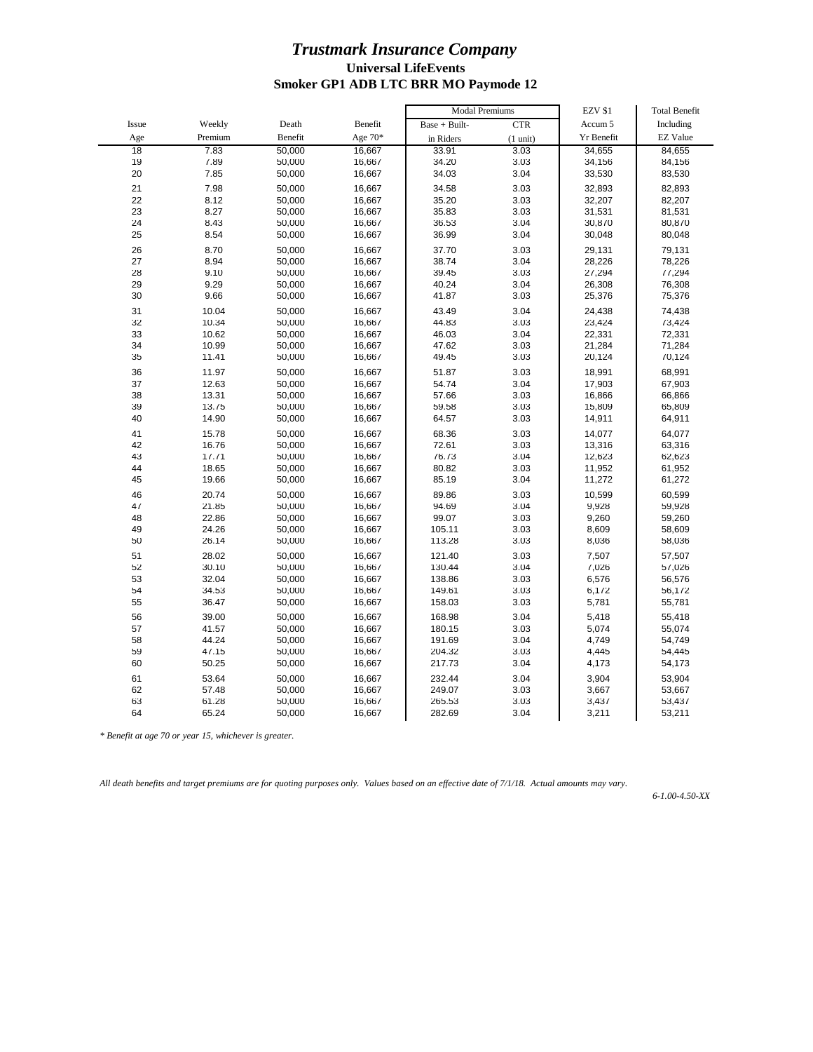|       |         |         |           | <b>Modal Premiums</b> |                    | <b>EZV \$1</b> | <b>Total Benefit</b> |
|-------|---------|---------|-----------|-----------------------|--------------------|----------------|----------------------|
| Issue | Weekly  | Death   | Benefit   | Base + Built-         | <b>CTR</b>         | Accum 5        | Including            |
| Age   | Premium | Benefit | Age $70*$ | in Riders             | $(1 \text{ unit})$ | Yr Benefit     | <b>EZ Value</b>      |
| 18    | 7.83    | 50,000  | 16,667    | 33.91                 | 3.03               | 34,655         | 84,655               |
| 19    | 7.89    | 50,000  | 16,667    | 34.20                 | 3.03               | 34,156         | 84,156               |
| 20    | 7.85    | 50,000  | 16,667    | 34.03                 | 3.04               | 33,530         | 83,530               |
| 21    | 7.98    | 50,000  | 16,667    | 34.58                 | 3.03               | 32,893         | 82,893               |
| 22    | 8.12    | 50,000  | 16,667    | 35.20                 | 3.03               | 32,207         | 82,207               |
| 23    | 8.27    | 50,000  | 16,667    | 35.83                 | 3.03               | 31,531         | 81,531               |
| 24    | 8.43    | 50,000  | 16,667    | 36.53                 | 3.04               | 30,870         | 80,870               |
| 25    | 8.54    | 50,000  | 16,667    | 36.99                 | 3.04               | 30,048         | 80,048               |
| 26    | 8.70    | 50,000  | 16,667    | 37.70                 | 3.03               | 29,131         | 79,131               |
| 27    | 8.94    | 50,000  | 16,667    | 38.74                 | 3.04               | 28,226         | 78,226               |
| 28    | 9.10    | 50,000  | 16,667    | 39.45                 | 3.03               | 27,294         | 77,294               |
| 29    | 9.29    | 50,000  | 16,667    | 40.24                 | 3.04               | 26,308         | 76,308               |
| 30    | 9.66    | 50,000  | 16,667    | 41.87                 | 3.03               | 25,376         | 75,376               |
| 31    | 10.04   | 50,000  | 16,667    | 43.49                 | 3.04               | 24,438         | 74,438               |
| 32    | 10.34   | 50,000  | 16,667    | 44.83                 | 3.03               | 23,424         | 73,424               |
| 33    | 10.62   | 50,000  | 16,667    | 46.03                 | 3.04               | 22,331         | 72,331               |
| 34    | 10.99   | 50,000  | 16,667    | 47.62                 | 3.03               | 21,284         | 71,284               |
| 35    | 11.41   | 50,000  | 16,667    | 49.45                 | 3.03               | 20,124         | 70,124               |
| 36    | 11.97   | 50,000  | 16,667    | 51.87                 | 3.03               | 18,991         | 68,991               |
| 37    | 12.63   | 50,000  | 16,667    | 54.74                 | 3.04               | 17,903         | 67,903               |
| 38    | 13.31   | 50,000  | 16,667    | 57.66                 | 3.03               | 16,866         | 66,866               |
| 39    | 13.75   | 50,000  | 16,667    | 59.58                 | 3.03               | 15,809         | 65,809               |
| 40    | 14.90   | 50,000  | 16,667    | 64.57                 | 3.03               | 14,911         | 64,911               |
| 41    | 15.78   | 50,000  | 16,667    | 68.36                 | 3.03               | 14,077         | 64,077               |
| 42    | 16.76   | 50,000  | 16,667    | 72.61                 | 3.03               | 13,316         | 63,316               |
| 43    | 17.71   | 50,000  | 16,667    | 76.73                 | 3.04               | 12,623         | 62,623               |
| 44    | 18.65   | 50,000  | 16,667    | 80.82                 | 3.03               | 11,952         | 61,952               |
| 45    | 19.66   | 50,000  | 16,667    | 85.19                 | 3.04               | 11,272         | 61,272               |
| 46    | 20.74   | 50,000  | 16,667    | 89.86                 | 3.03               | 10,599         | 60,599               |
| 47    | 21.85   | 50,000  | 16,667    | 94.69                 | 3.04               | 9,928          | 59,928               |
| 48    | 22.86   | 50,000  | 16,667    | 99.07                 | 3.03               | 9,260          | 59,260               |
| 49    | 24.26   | 50,000  | 16,667    | 105.11                | 3.03               | 8,609          | 58,609               |
| 50    | 26.14   | 50,000  | 16,667    | 113.28                | 3.03               | 8,036          | 58,036               |
| 51    | 28.02   | 50,000  | 16,667    | 121.40                | 3.03               | 7,507          | 57,507               |
| 52    | 30.10   | 50,000  | 16,667    | 130.44                | 3.04               | 7,026          | 57,026               |
| 53    | 32.04   | 50,000  | 16,667    | 138.86                | 3.03               | 6,576          | 56,576               |
| 54    | 34.53   | 50,000  | 16,667    | 149.61                | 3.03               | 6,172          | 56,172               |
| 55    | 36.47   | 50,000  | 16,667    | 158.03                | 3.03               | 5,781          | 55,781               |
| 56    | 39.00   | 50,000  | 16,667    | 168.98                | 3.04               | 5,418          | 55,418               |
| 57    | 41.57   | 50,000  | 16,667    | 180.15                | 3.03               | 5,074          | 55,074               |
| 58    | 44.24   | 50,000  | 16,667    | 191.69                | 3.04               | 4,749          | 54,749               |
| 59    | 47.15   | 50,000  | 16,667    | 204.32                | 3.03               | 4,445          | 54,445               |
| 60    | 50.25   | 50,000  | 16,667    | 217.73                | 3.04               | 4,173          | 54,173               |
| 61    | 53.64   | 50,000  | 16,667    | 232.44                | 3.04               | 3,904          | 53,904               |
| 62    | 57.48   | 50,000  | 16,667    | 249.07                | 3.03               | 3,667          | 53,667               |
| 63    | 61.28   | 50,000  | 16,667    | 265.53                | 3.03               | 3,437          | 53,437               |
| 64    | 65.24   | 50,000  | 16,667    | 282.69                | 3.04               | 3,211          | 53,211               |
|       |         |         |           |                       |                    |                |                      |

*\* Benefit at age 70 or year 15, whichever is greater.*

*All death benefits and target premiums are for quoting purposes only. Values based on an effective date of 7/1/18. Actual amounts may vary.*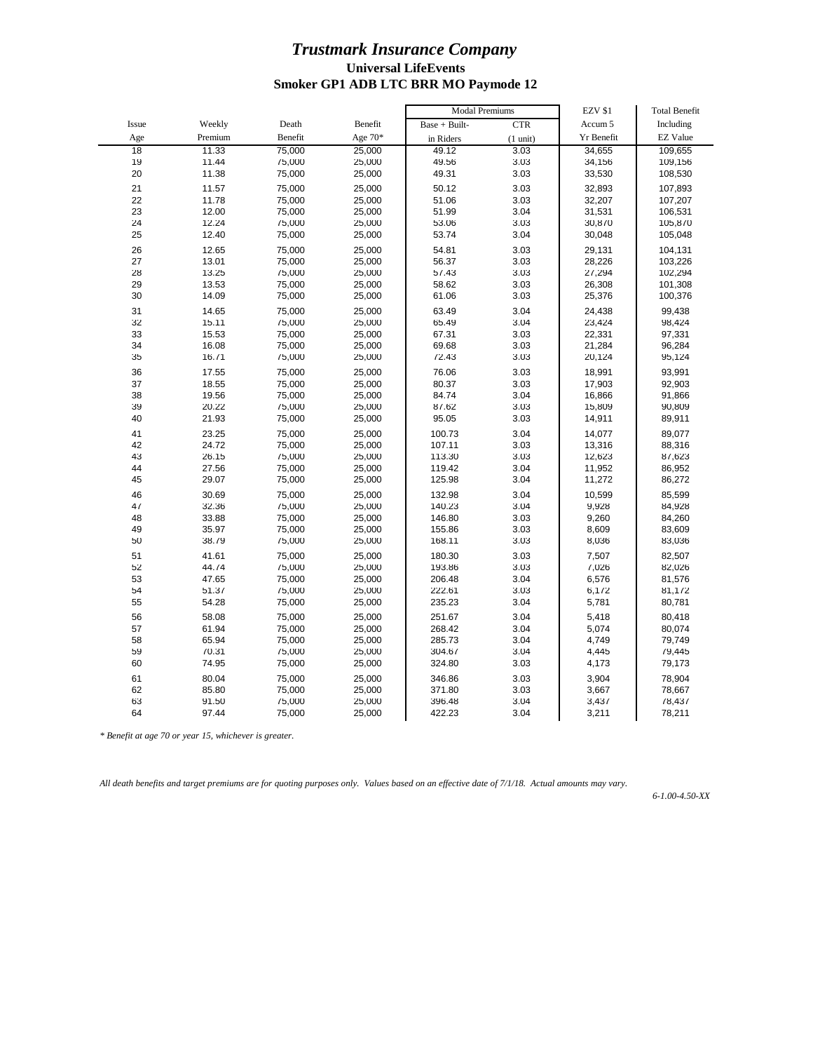|       |         |         |           | <b>Modal Premiums</b> |                    | <b>EZV \$1</b> | <b>Total Benefit</b> |
|-------|---------|---------|-----------|-----------------------|--------------------|----------------|----------------------|
| Issue | Weekly  | Death   | Benefit   | Base + Built-         | <b>CTR</b>         | Accum 5        | Including            |
| Age   | Premium | Benefit | Age $70*$ | in Riders             | $(1 \text{ unit})$ | Yr Benefit     | <b>EZ Value</b>      |
| 18    | 11.33   | 75,000  | 25,000    | 49.12                 | 3.03               | 34,655         | 109,655              |
| 19    | 11.44   | 75,000  | 25,000    | 49.56                 | 3.03               | 34,156         | 109,156              |
| 20    | 11.38   | 75,000  | 25,000    | 49.31                 | 3.03               | 33,530         | 108,530              |
| 21    | 11.57   | 75,000  | 25,000    | 50.12                 | 3.03               | 32,893         | 107,893              |
| 22    | 11.78   | 75,000  | 25,000    | 51.06                 | 3.03               | 32,207         | 107,207              |
| 23    | 12.00   | 75,000  | 25,000    | 51.99                 | 3.04               | 31,531         | 106,531              |
| 24    | 12.24   | 75,000  | 25,000    | 53.06                 | 3.03               | 30,870         | 105,870              |
| 25    | 12.40   | 75,000  | 25,000    | 53.74                 | 3.04               | 30,048         | 105,048              |
| 26    | 12.65   | 75,000  | 25,000    | 54.81                 | 3.03               | 29,131         | 104,131              |
| 27    | 13.01   | 75,000  | 25,000    | 56.37                 | 3.03               | 28,226         | 103,226              |
| 28    | 13.25   | 75,000  | 25,000    | 57.43                 | 3.03               | 27,294         | 102,294              |
| 29    | 13.53   | 75,000  | 25,000    | 58.62                 | 3.03               | 26,308         | 101,308              |
| 30    | 14.09   | 75,000  | 25,000    | 61.06                 | 3.03               | 25,376         | 100,376              |
| 31    | 14.65   | 75,000  | 25,000    | 63.49                 | 3.04               | 24,438         | 99,438               |
| 32    | 15.11   | 75,000  | 25,000    | 65.49                 | 3.04               | 23,424         | 98,424               |
| 33    | 15.53   | 75,000  | 25,000    | 67.31                 | 3.03               | 22,331         | 97,331               |
| 34    | 16.08   | 75,000  | 25,000    | 69.68                 | 3.03               | 21,284         | 96,284               |
| 35    | 16.71   | 75,000  | 25,000    | 72.43                 | 3.03               | 20,124         | 95,124               |
| 36    | 17.55   | 75,000  | 25,000    | 76.06                 | 3.03               | 18,991         | 93,991               |
| 37    | 18.55   | 75,000  | 25,000    | 80.37                 | 3.03               | 17,903         | 92,903               |
| 38    | 19.56   | 75,000  | 25,000    | 84.74                 | 3.04               | 16,866         | 91,866               |
| 39    | 20.22   | 75,000  | 25,000    | 87.62                 | 3.03               | 15,809         | 90,809               |
| 40    | 21.93   | 75,000  | 25,000    | 95.05                 | 3.03               | 14,911         | 89,911               |
| 41    | 23.25   | 75,000  | 25,000    | 100.73                | 3.04               | 14,077         | 89,077               |
| 42    | 24.72   | 75,000  | 25,000    | 107.11                | 3.03               | 13,316         | 88,316               |
| 43    | 26.15   | 75,000  | 25,000    | 113.30                | 3.03               | 12,623         | 87,623               |
| 44    | 27.56   | 75,000  | 25,000    | 119.42                | 3.04               | 11,952         | 86,952               |
| 45    | 29.07   | 75,000  | 25,000    | 125.98                | 3.04               | 11,272         | 86,272               |
| 46    | 30.69   | 75,000  | 25,000    | 132.98                | 3.04               | 10,599         | 85,599               |
| 47    | 32.36   | 75,000  | 25,000    | 140.23                | 3.04               | 9,928          | 84,928               |
| 48    | 33.88   | 75,000  | 25,000    | 146.80                | 3.03               | 9,260          | 84,260               |
| 49    | 35.97   | 75,000  | 25,000    | 155.86                | 3.03               | 8,609          | 83,609               |
| 50    | 38.79   | 75,000  | 25,000    | 168.11                | 3.03               | 8,036          | 83,036               |
| 51    | 41.61   | 75,000  | 25,000    | 180.30                | 3.03               | 7,507          | 82,507               |
| 52    | 44.74   | 75,000  | 25,000    | 193.86                | 3.03               | 7,026          | 82,026               |
| 53    | 47.65   | 75,000  | 25,000    | 206.48                | 3.04               | 6,576          | 81,576               |
| 54    | 51.37   | 75,000  | 25,000    | 222.61                | 3.03               | 6,172          | 81,172               |
| 55    | 54.28   | 75,000  | 25,000    | 235.23                | 3.04               | 5,781          | 80,781               |
| 56    | 58.08   | 75,000  | 25,000    | 251.67                | 3.04               | 5,418          | 80,418               |
| 57    | 61.94   | 75,000  | 25,000    | 268.42                | 3.04               | 5,074          | 80,074               |
| 58    | 65.94   | 75,000  | 25,000    | 285.73                | 3.04               | 4,749          | 79,749               |
| 59    | 70.31   | 75,000  | 25,000    | 304.67                | 3.04               | 4,445          | 79,445               |
| 60    | 74.95   | 75,000  | 25,000    | 324.80                | 3.03               | 4,173          | 79,173               |
| 61    | 80.04   | 75,000  | 25,000    | 346.86                | 3.03               | 3,904          | 78,904               |
| 62    | 85.80   | 75,000  | 25,000    | 371.80                | 3.03               | 3,667          | 78,667               |
| 63    | 91.50   | 75,000  | 25,000    | 396.48                | 3.04               | 3,437          | 78,437               |
| 64    | 97.44   | 75,000  | 25,000    | 422.23                | 3.04               | 3,211          | 78,211               |
|       |         |         |           |                       |                    |                |                      |

*\* Benefit at age 70 or year 15, whichever is greater.*

*All death benefits and target premiums are for quoting purposes only. Values based on an effective date of 7/1/18. Actual amounts may vary.*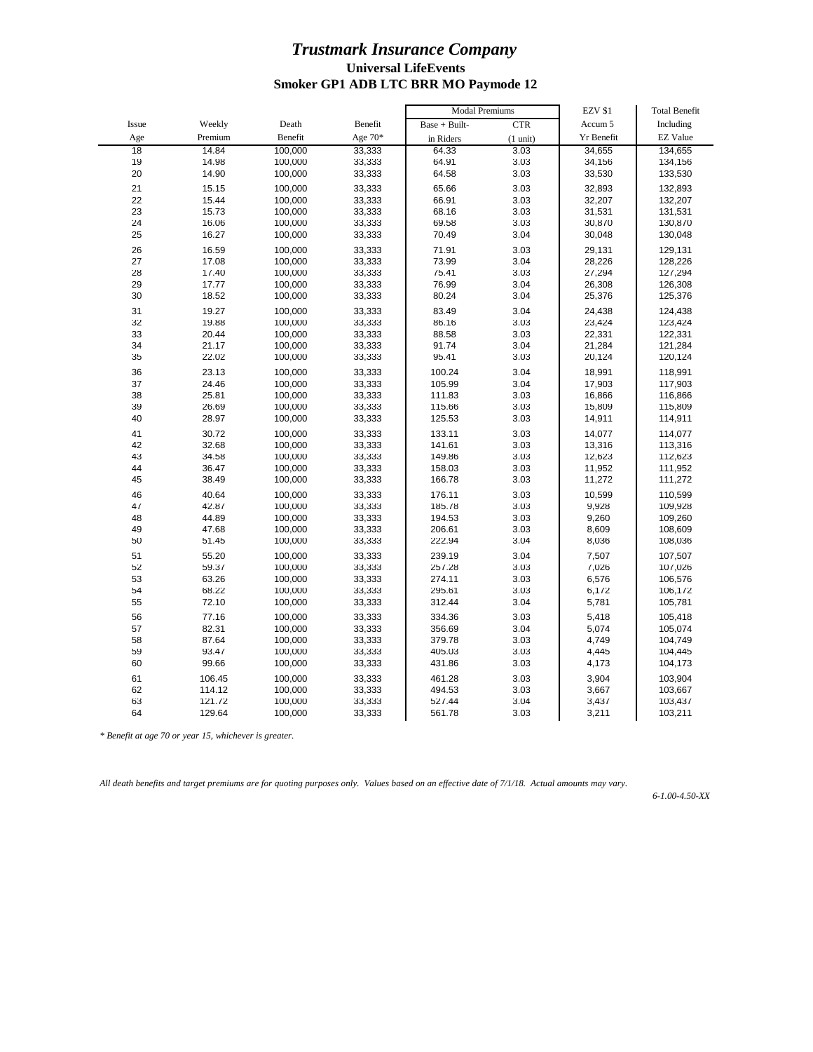|       |         |         |           | <b>Modal Premiums</b> |                    | <b>EZV \$1</b> | <b>Total Benefit</b> |
|-------|---------|---------|-----------|-----------------------|--------------------|----------------|----------------------|
| Issue | Weekly  | Death   | Benefit   | Base + Built-         | <b>CTR</b>         | Accum 5        | Including            |
| Age   | Premium | Benefit | Age $70*$ | in Riders             | $(1 \text{ unit})$ | Yr Benefit     | <b>EZ Value</b>      |
| 18    | 14.84   | 100,000 | 33,333    | 64.33                 | 3.03               | 34,655         | 134,655              |
| 19    | 14.98   | 100,000 | 33,333    | 64.91                 | 3.03               | 34,156         | 134,156              |
| 20    | 14.90   | 100,000 | 33,333    | 64.58                 | 3.03               | 33,530         | 133,530              |
| 21    | 15.15   | 100,000 | 33,333    | 65.66                 | 3.03               | 32,893         | 132,893              |
| 22    | 15.44   | 100,000 | 33,333    | 66.91                 | 3.03               | 32,207         | 132,207              |
| 23    | 15.73   | 100,000 | 33,333    | 68.16                 | 3.03               | 31,531         | 131,531              |
| 24    | 16.06   | 100,000 | 33,333    | 69.58                 | 3.03               | 30,870         | 130,870              |
| 25    | 16.27   | 100,000 | 33,333    | 70.49                 | 3.04               | 30,048         | 130,048              |
| 26    | 16.59   | 100,000 | 33,333    | 71.91                 | 3.03               | 29,131         | 129,131              |
| 27    | 17.08   | 100,000 | 33,333    | 73.99                 | 3.04               | 28,226         | 128,226              |
| 28    | 17.40   | 100,000 | 33,333    | 75.41                 | 3.03               | 27,294         | 127,294              |
| 29    | 17.77   | 100,000 | 33,333    | 76.99                 | 3.04               | 26,308         | 126,308              |
| 30    | 18.52   | 100,000 | 33,333    | 80.24                 | 3.04               | 25,376         | 125,376              |
| 31    | 19.27   | 100,000 | 33,333    | 83.49                 | 3.04               | 24,438         | 124,438              |
| 32    | 19.88   | 100,000 | 33,333    | 86.16                 | 3.03               | 23,424         | 123,424              |
| 33    | 20.44   | 100,000 | 33,333    | 88.58                 | 3.03               | 22,331         | 122,331              |
| 34    | 21.17   | 100,000 | 33,333    | 91.74                 | 3.04               | 21,284         | 121,284              |
| 35    | 22.02   | 100,000 | 33,333    | 95.41                 | 3.03               | 20,124         | 120,124              |
| 36    | 23.13   | 100,000 | 33,333    | 100.24                | 3.04               | 18,991         | 118,991              |
| 37    | 24.46   | 100,000 | 33,333    | 105.99                | 3.04               | 17,903         | 117,903              |
| 38    | 25.81   | 100,000 | 33,333    | 111.83                | 3.03               | 16,866         | 116,866              |
| 39    | 26.69   | 100,000 | 33,333    | 115.66                | 3.03               | 15,809         | 115,809              |
| 40    | 28.97   | 100,000 | 33,333    | 125.53                | 3.03               | 14,911         | 114,911              |
| 41    | 30.72   | 100,000 | 33,333    | 133.11                | 3.03               | 14,077         | 114,077              |
| 42    | 32.68   | 100,000 | 33,333    | 141.61                | 3.03               | 13,316         | 113,316              |
| 43    | 34.58   | 100,000 | 33,333    | 149.86                | 3.03               | 12,623         | 112,623              |
| 44    | 36.47   | 100,000 | 33,333    | 158.03                | 3.03               | 11,952         | 111,952              |
| 45    | 38.49   | 100,000 | 33,333    | 166.78                | 3.03               | 11,272         | 111,272              |
| 46    | 40.64   | 100,000 | 33,333    | 176.11                | 3.03               | 10,599         | 110,599              |
| 47    | 42.87   | 100,000 | 33,333    | 185.78                | 3.03               | 9,928          | 109,928              |
| 48    | 44.89   | 100,000 | 33,333    | 194.53                | 3.03               | 9,260          | 109,260              |
| 49    | 47.68   | 100,000 | 33,333    | 206.61                | 3.03               | 8,609          | 108,609              |
| 50    | 51.45   | 100,000 | 33,333    | 222.94                | 3.04               | 8,036          | 108,036              |
| 51    | 55.20   | 100,000 | 33,333    | 239.19                | 3.04               | 7,507          | 107,507              |
| 52    | 59.37   | 100,000 | 33,333    | 257.28                | 3.03               | 7,026          | 107,026              |
| 53    | 63.26   | 100,000 | 33,333    | 274.11                | 3.03               | 6,576          | 106,576              |
| 54    | 68.22   | 100,000 | 33,333    | 295.61                | 3.03               | 6,172          | 106,172              |
| 55    | 72.10   | 100,000 | 33,333    | 312.44                | 3.04               | 5,781          | 105,781              |
| 56    | 77.16   | 100,000 | 33,333    | 334.36                | 3.03               | 5,418          | 105,418              |
| 57    | 82.31   | 100,000 | 33,333    | 356.69                | 3.04               | 5,074          | 105,074              |
| 58    | 87.64   | 100,000 | 33,333    | 379.78                | 3.03               | 4,749          | 104,749              |
| 59    | 93.47   | 100,000 | 33,333    | 405.03                | 3.03               | 4,445          | 104,445              |
| 60    | 99.66   | 100,000 | 33,333    | 431.86                | 3.03               | 4,173          | 104,173              |
| 61    | 106.45  | 100,000 | 33,333    | 461.28                | 3.03               | 3,904          | 103,904              |
| 62    | 114.12  | 100,000 | 33,333    | 494.53                | 3.03               | 3,667          | 103,667              |
| 63    | 121.72  | 100,000 | 33,333    | 527.44                | 3.04               | 3,437          | 103,437              |
| 64    | 129.64  | 100,000 | 33,333    | 561.78                | 3.03               | 3,211          | 103,211              |

*\* Benefit at age 70 or year 15, whichever is greater.*

*All death benefits and target premiums are for quoting purposes only. Values based on an effective date of 7/1/18. Actual amounts may vary.*